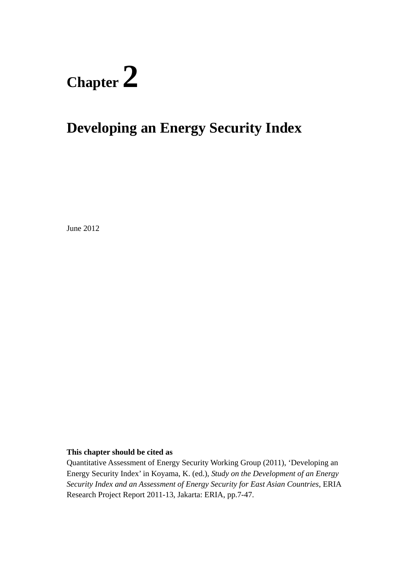# **Chapter 2**

# **Developing an Energy Security Index**

June 2012

## **This chapter should be cited as**

Quantitative Assessment of Energy Security Working Group (2011), 'Developing an Energy Security Index' in Koyama, K. (ed.), *Study on the Development of an Energy Security Index and an Assessment of Energy Security for East Asian Countries*, ERIA Research Project Report 2011-13, Jakarta: ERIA, pp.7-47.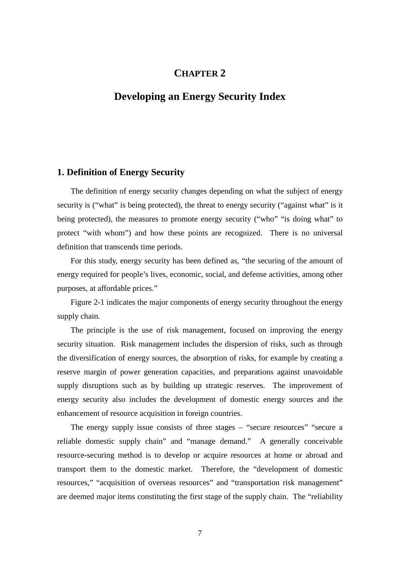# **CHAPTER 2**

# **Developing an Energy Security Index**

#### **1. Definition of Energy Security**

The definition of energy security changes depending on what the subject of energy security is ("what" is being protected), the threat to energy security ("against what" is it being protected), the measures to promote energy security ("who" "is doing what" to protect "with whom") and how these points are recognized. There is no universal definition that transcends time periods.

For this study, energy security has been defined as, "the securing of the amount of energy required for people's lives, economic, social, and defense activities, among other purposes, at affordable prices."

Figure 2-1 indicates the major components of energy security throughout the energy supply chain.

The principle is the use of risk management, focused on improving the energy security situation. Risk management includes the dispersion of risks, such as through the diversification of energy sources, the absorption of risks, for example by creating a reserve margin of power generation capacities, and preparations against unavoidable supply disruptions such as by building up strategic reserves. The improvement of energy security also includes the development of domestic energy sources and the enhancement of resource acquisition in foreign countries.

The energy supply issue consists of three stages – "secure resources" "secure a reliable domestic supply chain" and "manage demand." A generally conceivable resource-securing method is to develop or acquire resources at home or abroad and transport them to the domestic market. Therefore, the "development of domestic resources," "acquisition of overseas resources" and "transportation risk management" are deemed major items constituting the first stage of the supply chain. The "reliability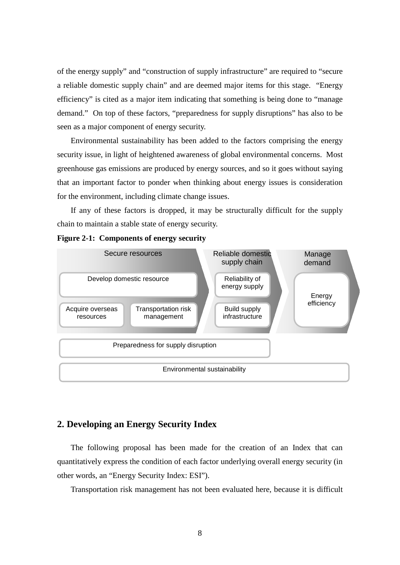of the energy supply" and "construction of supply infrastructure" are required to "secure a reliable domestic supply chain" and are deemed major items for this stage. "Energy efficiency" is cited as a major item indicating that something is being done to "manage demand." On top of these factors, "preparedness for supply disruptions" has also to be seen as a major component of energy security.

Environmental sustainability has been added to the factors comprising the energy security issue, in light of heightened awareness of global environmental concerns. Most greenhouse gas emissions are produced by energy sources, and so it goes without saying that an important factor to ponder when thinking about energy issues is consideration for the environment, including climate change issues.

If any of these factors is dropped, it may be structurally difficult for the supply chain to maintain a stable state of energy security.



#### **Figure 2-1: Components of energy security**

#### **2. Developing an Energy Security Index**

The following proposal has been made for the creation of an Index that can quantitatively express the condition of each factor underlying overall energy security (in other words, an "Energy Security Index: ESI").

Transportation risk management has not been evaluated here, because it is difficult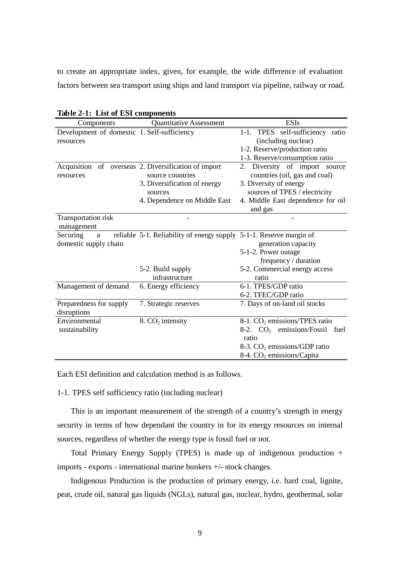to create an appropriate index, given, for example, the wide difference of evaluation factors between sea transport using ships and land transport via pipeline, railway or road.

| $\omega \sim 2$ 1. External components      |                                                                     | <b>ESIs</b>                               |  |  |  |  |  |
|---------------------------------------------|---------------------------------------------------------------------|-------------------------------------------|--|--|--|--|--|
| Components                                  | <b>Quantitative Assessment</b>                                      |                                           |  |  |  |  |  |
| Development of domestic 1. Self-sufficiency |                                                                     | 1-1. TPES self-sufficiency ratio          |  |  |  |  |  |
| resources                                   |                                                                     | (including nuclear)                       |  |  |  |  |  |
|                                             |                                                                     | 1-2. Reserve/production ratio             |  |  |  |  |  |
|                                             |                                                                     | 1-3. Reserve/consumption ratio            |  |  |  |  |  |
|                                             | Acquisition of overseas 2. Diversification of import                | 2. Diversity of import source             |  |  |  |  |  |
| resources                                   | source countries                                                    | countries (oil, gas and coal)             |  |  |  |  |  |
|                                             | 3. Diversification of energy                                        | 3. Diversity of energy                    |  |  |  |  |  |
|                                             | sources                                                             | sources of TPES / electricity             |  |  |  |  |  |
|                                             | 4. Dependence on Middle East                                        | 4. Middle East dependence for oil         |  |  |  |  |  |
|                                             |                                                                     | and gas                                   |  |  |  |  |  |
| Transportation risk                         |                                                                     |                                           |  |  |  |  |  |
| management                                  |                                                                     |                                           |  |  |  |  |  |
| Securing<br>a                               | reliable 5-1. Reliability of energy supply 5-1-1. Reserve margin of |                                           |  |  |  |  |  |
| domestic supply chain                       |                                                                     | generation capacity                       |  |  |  |  |  |
|                                             |                                                                     | 5-1-2. Power outage                       |  |  |  |  |  |
|                                             |                                                                     | frequency / duration                      |  |  |  |  |  |
|                                             | 5-2. Build supply                                                   | 5-2. Commercial energy access             |  |  |  |  |  |
|                                             | infrastructure                                                      | ratio                                     |  |  |  |  |  |
| Management of demand                        | 6. Energy efficiency                                                | 6-1. TPES/GDP ratio                       |  |  |  |  |  |
|                                             |                                                                     | 6-2. TFEC/GDP ratio                       |  |  |  |  |  |
| Preparedness for supply                     | 7. Strategic reserves                                               | 7. Days of on-land oil stocks             |  |  |  |  |  |
| disruptions                                 |                                                                     |                                           |  |  |  |  |  |
| Environmental                               | 8. $CO2$ intensity                                                  | 8-1. CO <sub>2</sub> emissions/TPES ratio |  |  |  |  |  |
| sustainability                              |                                                                     | 8-2. $CO2$ emissions/Fossil fuel          |  |  |  |  |  |
|                                             |                                                                     | ratio                                     |  |  |  |  |  |
|                                             |                                                                     | 8-3. $CO2$ emissions/GDP ratio            |  |  |  |  |  |
|                                             |                                                                     | 8-4. CO <sub>2</sub> emissions/Capita     |  |  |  |  |  |

|  |  | Table 2-1: List of ESI components |
|--|--|-----------------------------------|
|--|--|-----------------------------------|

Each ESI definition and calculation method is as follows.

1-1. TPES self sufficiency ratio (including nuclear)

This is an important measurement of the strength of a country's strength in energy security in terms of how dependant the country in for its energy resources on internal sources, regardless of whether the energy type is fossil fuel or not.

Total Primary Energy Supply (TPES) is made up of indigenous production + imports - exports - international marine bunkers +/- stock changes.

Indigenous Production is the production of primary energy, i.e. hard coal, lignite, peat, crude oil, natural gas liquids (NGLs), natural gas, nuclear, hydro, geothermal, solar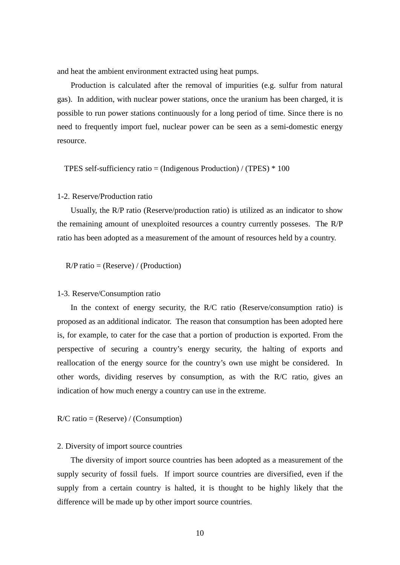and heat the ambient environment extracted using heat pumps.

Production is calculated after the removal of impurities (e.g. sulfur from natural gas). In addition, with nuclear power stations, once the uranium has been charged, it is possible to run power stations continuously for a long period of time. Since there is no need to frequently import fuel, nuclear power can be seen as a semi-domestic energy resource.

TPES self-sufficiency ratio = (Indigenous Production) / (TPES)  $*$  100

#### 1-2. Reserve/Production ratio

Usually, the R/P ratio (Reserve/production ratio) is utilized as an indicator to show the remaining amount of unexploited resources a country currently posseses. The R/P ratio has been adopted as a measurement of the amount of resources held by a country.

 $R/P$  ratio = (Reserve) / (Production)

#### 1-3. Reserve/Consumption ratio

In the context of energy security, the R/C ratio (Reserve/consumption ratio) is proposed as an additional indicator. The reason that consumption has been adopted here is, for example, to cater for the case that a portion of production is exported. From the perspective of securing a country's energy security, the halting of exports and reallocation of the energy source for the country's own use might be considered. In other words, dividing reserves by consumption, as with the R/C ratio, gives an indication of how much energy a country can use in the extreme.

 $R/C$  ratio = (Reserve) / (Consumption)

#### 2. Diversity of import source countries

The diversity of import source countries has been adopted as a measurement of the supply security of fossil fuels. If import source countries are diversified, even if the supply from a certain country is halted, it is thought to be highly likely that the difference will be made up by other import source countries.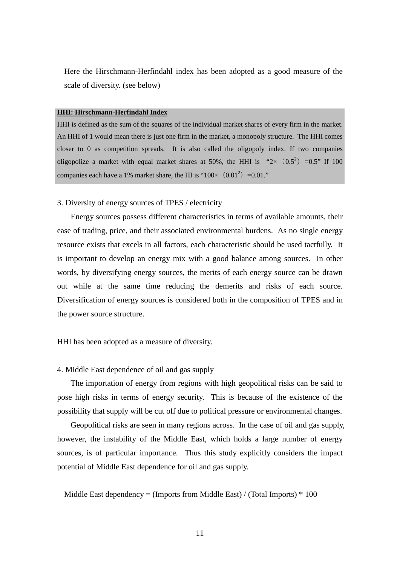Here the Hirschmann-Herfindahl index has been adopted as a good measure of the scale of diversity. (see below)

#### **HHI: Hirschmann-Herfindahl Index**

HHI is defined as the sum of the squares of the individual market shares of every firm in the market. An HHI of 1 would mean there is just one firm in the market, a monopoly structure. The HHI comes closer to 0 as competition spreads. It is also called the oligopoly index. If two companies oligopolize a market with equal market shares at 50%, the HHI is " $2 \times (0.5^2) = 0.5$ " If 100 companies each have a 1% market share, the HI is " $100 \times (0.01^2) = 0.01$ ."

#### 3. Diversity of energy sources of TPES / electricity

Energy sources possess different characteristics in terms of available amounts, their ease of trading, price, and their associated environmental burdens. As no single energy resource exists that excels in all factors, each characteristic should be used tactfully. It is important to develop an energy mix with a good balance among sources. In other words, by diversifying energy sources, the merits of each energy source can be drawn out while at the same time reducing the demerits and risks of each source. Diversification of energy sources is considered both in the composition of TPES and in the power source structure.

HHI has been adopted as a measure of diversity.

#### 4. Middle East dependence of oil and gas supply

The importation of energy from regions with high geopolitical risks can be said to pose high risks in terms of energy security. This is because of the existence of the possibility that supply will be cut off due to political pressure or environmental changes.

Geopolitical risks are seen in many regions across. In the case of oil and gas supply, however, the instability of the Middle East, which holds a large number of energy sources, is of particular importance. Thus this study explicitly considers the impact potential of Middle East dependence for oil and gas supply.

Middle East dependency = (Imports from Middle East) / (Total Imports)  $*$  100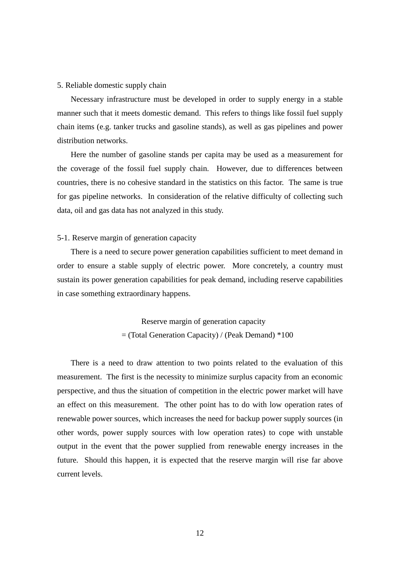#### 5. Reliable domestic supply chain

Necessary infrastructure must be developed in order to supply energy in a stable manner such that it meets domestic demand. This refers to things like fossil fuel supply chain items (e.g. tanker trucks and gasoline stands), as well as gas pipelines and power distribution networks.

Here the number of gasoline stands per capita may be used as a measurement for the coverage of the fossil fuel supply chain. However, due to differences between countries, there is no cohesive standard in the statistics on this factor. The same is true for gas pipeline networks. In consideration of the relative difficulty of collecting such data, oil and gas data has not analyzed in this study.

#### 5-1. Reserve margin of generation capacity

There is a need to secure power generation capabilities sufficient to meet demand in order to ensure a stable supply of electric power. More concretely, a country must sustain its power generation capabilities for peak demand, including reserve capabilities in case something extraordinary happens.

> Reserve margin of generation capacity = (Total Generation Capacity) / (Peak Demand) \*100

There is a need to draw attention to two points related to the evaluation of this measurement. The first is the necessity to minimize surplus capacity from an economic perspective, and thus the situation of competition in the electric power market will have an effect on this measurement. The other point has to do with low operation rates of renewable power sources, which increases the need for backup power supply sources (in other words, power supply sources with low operation rates) to cope with unstable output in the event that the power supplied from renewable energy increases in the future. Should this happen, it is expected that the reserve margin will rise far above current levels.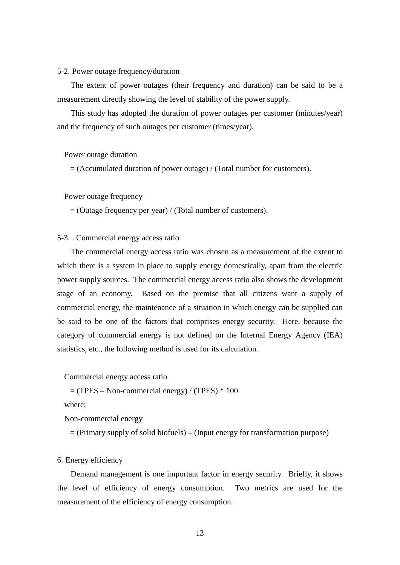#### 5-2. Power outage frequency/duration

The extent of power outages (their frequency and duration) can be said to be a measurement directly showing the level of stability of the power supply.

This study has adopted the duration of power outages per customer (minutes/year) and the frequency of such outages per customer (times/year).

Power outage duration

= (Accumulated duration of power outage) / (Total number for customers).

Power outage frequency

 $=$  (Outage frequency per year) / (Total number of customers).

#### 5-3. . Commercial energy access ratio

The commercial energy access ratio was chosen as a measurement of the extent to which there is a system in place to supply energy domestically, apart from the electric power supply sources. The commercial energy access ratio also shows the development stage of an economy. Based on the premise that all citizens want a supply of commercial energy, the maintenance of a situation in which energy can be supplied can be said to be one of the factors that comprises energy security. Here, because the category of commercial energy is not defined on the Internal Energy Agency (IEA) statistics, etc., the following method is used for its calculation.

Commercial energy access ratio

 $=$  (TPES – Non-commercial energy) / (TPES)  $*$  100

where;

Non-commercial energy

= (Primary supply of solid biofuels) – (Input energy for transformation purpose)

#### 6. Energy efficiency

Demand management is one important factor in energy security. Briefly, it shows the level of efficiency of energy consumption. Two metrics are used for the measurement of the efficiency of energy consumption.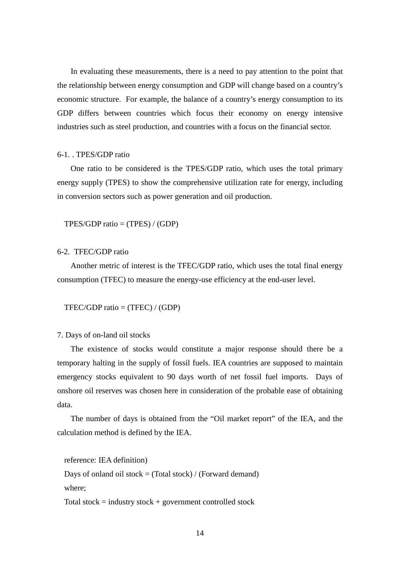In evaluating these measurements, there is a need to pay attention to the point that the relationship between energy consumption and GDP will change based on a country's economic structure. For example, the balance of a country's energy consumption to its GDP differs between countries which focus their economy on energy intensive industries such as steel production, and countries with a focus on the financial sector.

#### 6-1. . TPES/GDP ratio

One ratio to be considered is the TPES/GDP ratio, which uses the total primary energy supply (TPES) to show the comprehensive utilization rate for energy, including in conversion sectors such as power generation and oil production.

 $TPES/GDP ratio = (TPES) / (GDP)$ 

#### 6-2. TFEC/GDP ratio

Another metric of interest is the TFEC/GDP ratio, which uses the total final energy consumption (TFEC) to measure the energy-use efficiency at the end-user level.

TFEC/GDP ratio = (TFEC) / (GDP)

#### 7. Days of on-land oil stocks

The existence of stocks would constitute a major response should there be a temporary halting in the supply of fossil fuels. IEA countries are supposed to maintain emergency stocks equivalent to 90 days worth of net fossil fuel imports. Days of onshore oil reserves was chosen here in consideration of the probable ease of obtaining data.

The number of days is obtained from the "Oil market report" of the IEA, and the calculation method is defined by the IEA.

```
reference: IEA definition)
```
Days of onland oil stock  $=$  (Total stock) / (Forward demand) where;

Total stock = industry stock + government controlled stock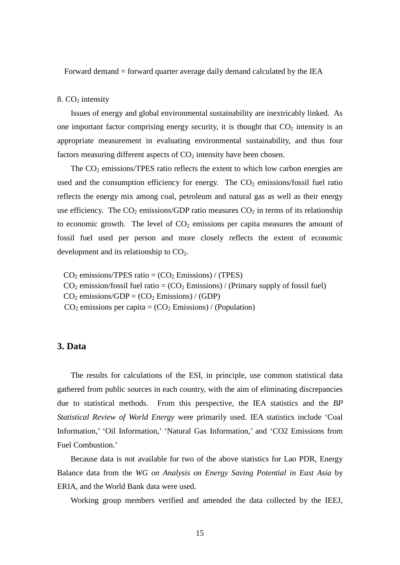Forward demand = forward quarter average daily demand calculated by the IEA

#### 8.  $CO<sub>2</sub>$  intensity

Issues of energy and global environmental sustainability are inextricably linked. As one important factor comprising energy security, it is thought that  $CO<sub>2</sub>$  intensity is an appropriate measurement in evaluating environmental sustainability, and thus four factors measuring different aspects of  $CO<sub>2</sub>$  intensity have been chosen.

The  $CO<sub>2</sub>$  emissions/TPES ratio reflects the extent to which low carbon energies are used and the consumption efficiency for energy. The  $CO<sub>2</sub>$  emissions/fossil fuel ratio reflects the energy mix among coal, petroleum and natural gas as well as their energy use efficiency. The  $CO_2$  emissions/GDP ratio measures  $CO_2$  in terms of its relationship to economic growth. The level of  $CO<sub>2</sub>$  emissions per capita measures the amount of fossil fuel used per person and more closely reflects the extent of economic development and its relationship to  $CO<sub>2</sub>$ .

 $CO<sub>2</sub>$  emissions/TPES ratio =  $(CO<sub>2</sub>$  Emissions) / (TPES)  $CO<sub>2</sub>$  emission/fossil fuel ratio =  $(CO<sub>2</sub>$  Emissions) / (Primary supply of fossil fuel)  $CO<sub>2</sub> emissions/GDP = (CO<sub>2</sub> emissions) / (GDP)$  $CO<sub>2</sub>$  emissions per capita =  $(CO<sub>2</sub>$  Emissions) / (Population)

#### **3. Data**

The results for calculations of the ESI, in principle, use common statistical data gathered from public sources in each country, with the aim of eliminating discrepancies due to statistical methods. From this perspective, the IEA statistics and the *BP Statistical Review of World Energy* were primarily used. IEA statistics include 'Coal Information,' 'Oil Information,' 'Natural Gas Information,' and 'CO2 Emissions from Fuel Combustion.'

Because data is not available for two of the above statistics for Lao PDR, Energy Balance data from the *WG on Analysis on Energy Saving Potential in East Asia* by ERIA, and the World Bank data were used.

Working group members verified and amended the data collected by the IEEJ,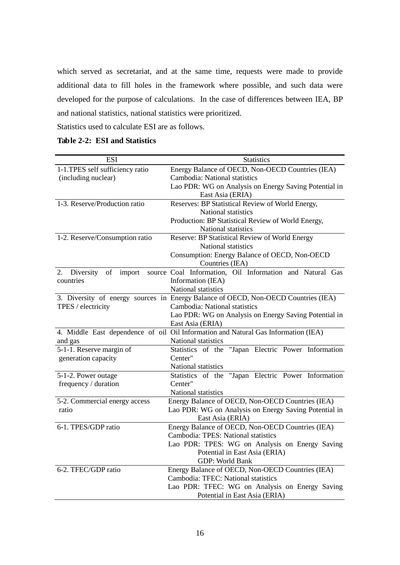which served as secretariat, and at the same time, requests were made to provide additional data to fill holes in the framework where possible, and such data were developed for the purpose of calculations. In the case of differences between IEA, BP and national statistics, national statistics were prioritized.

Statistics used to calculate ESI are as follows.

| <b>Table 2-2: ESI and Statistics</b> |  |  |
|--------------------------------------|--|--|
|--------------------------------------|--|--|

| <b>ESI</b>                          | <b>Statistics</b>                                                                                         |  |  |  |  |  |  |  |  |
|-------------------------------------|-----------------------------------------------------------------------------------------------------------|--|--|--|--|--|--|--|--|
| 1-1. TPES self sufficiency ratio    | Energy Balance of OECD, Non-OECD Countries (IEA)                                                          |  |  |  |  |  |  |  |  |
| (including nuclear)                 | Cambodia: National statistics                                                                             |  |  |  |  |  |  |  |  |
|                                     | Lao PDR: WG on Analysis on Energy Saving Potential in                                                     |  |  |  |  |  |  |  |  |
|                                     | East Asia (ERIA)                                                                                          |  |  |  |  |  |  |  |  |
| 1-3. Reserve/Production ratio       | Reserves: BP Statistical Review of World Energy,                                                          |  |  |  |  |  |  |  |  |
|                                     | National statistics                                                                                       |  |  |  |  |  |  |  |  |
|                                     | Production: BP Statistical Review of World Energy,                                                        |  |  |  |  |  |  |  |  |
|                                     | National statistics                                                                                       |  |  |  |  |  |  |  |  |
| 1-2. Reserve/Consumption ratio      | Reserve: BP Statistical Review of World Energy                                                            |  |  |  |  |  |  |  |  |
|                                     | National statistics                                                                                       |  |  |  |  |  |  |  |  |
|                                     | Consumption: Energy Balance of OECD, Non-OECD                                                             |  |  |  |  |  |  |  |  |
|                                     | Countries (IEA)                                                                                           |  |  |  |  |  |  |  |  |
| 2. Diversity of<br>import           | source Coal Information, Oil Information and Natural Gas                                                  |  |  |  |  |  |  |  |  |
| countries                           | Information (IEA)                                                                                         |  |  |  |  |  |  |  |  |
|                                     | National statistics                                                                                       |  |  |  |  |  |  |  |  |
|                                     | 3. Diversity of energy sources in Energy Balance of OECD, Non-OECD Countries (IEA)                        |  |  |  |  |  |  |  |  |
| TPES / electricity                  | Cambodia: National statistics                                                                             |  |  |  |  |  |  |  |  |
|                                     | Lao PDR: WG on Analysis on Energy Saving Potential in                                                     |  |  |  |  |  |  |  |  |
|                                     | East Asia (ERIA)                                                                                          |  |  |  |  |  |  |  |  |
|                                     | 4. Middle East dependence of oil Oil Information and Natural Gas Information (IEA)<br>National statistics |  |  |  |  |  |  |  |  |
| and gas<br>5-1-1. Reserve margin of | Statistics of the "Japan Electric Power Information                                                       |  |  |  |  |  |  |  |  |
| generation capacity                 | Center"                                                                                                   |  |  |  |  |  |  |  |  |
|                                     | National statistics                                                                                       |  |  |  |  |  |  |  |  |
| 5-1-2. Power outage                 | Statistics of the "Japan Electric Power Information                                                       |  |  |  |  |  |  |  |  |
| frequency / duration                | Center"                                                                                                   |  |  |  |  |  |  |  |  |
|                                     | National statistics                                                                                       |  |  |  |  |  |  |  |  |
| 5-2. Commercial energy access       | Energy Balance of OECD, Non-OECD Countries (IEA)                                                          |  |  |  |  |  |  |  |  |
| ratio                               | Lao PDR: WG on Analysis on Energy Saving Potential in                                                     |  |  |  |  |  |  |  |  |
|                                     | East Asia (ERIA)                                                                                          |  |  |  |  |  |  |  |  |
| 6-1. TPES/GDP ratio                 | Energy Balance of OECD, Non-OECD Countries (IEA)                                                          |  |  |  |  |  |  |  |  |
|                                     | Cambodia: TPES: National statistics                                                                       |  |  |  |  |  |  |  |  |
|                                     | Lao PDR: TPES: WG on Analysis on Energy Saving                                                            |  |  |  |  |  |  |  |  |
|                                     | Potential in East Asia (ERIA)                                                                             |  |  |  |  |  |  |  |  |
|                                     | GDP: World Bank                                                                                           |  |  |  |  |  |  |  |  |
| 6-2. TFEC/GDP ratio                 | Energy Balance of OECD, Non-OECD Countries (IEA)                                                          |  |  |  |  |  |  |  |  |
|                                     | Cambodia: TFEC: National statistics                                                                       |  |  |  |  |  |  |  |  |
|                                     | Lao PDR: TFEC: WG on Analysis on Energy Saving                                                            |  |  |  |  |  |  |  |  |
|                                     | Potential in East Asia (ERIA)                                                                             |  |  |  |  |  |  |  |  |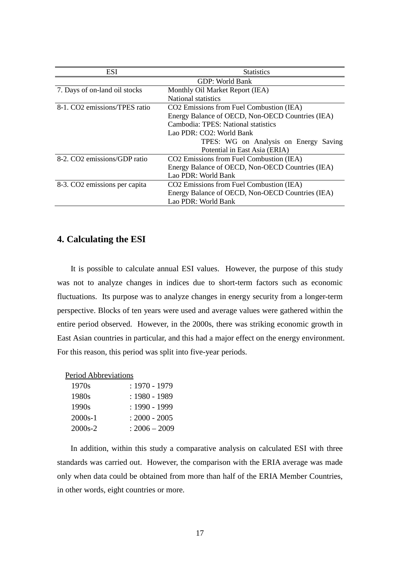| <b>ESI</b>                    | <b>Statistics</b>                                |
|-------------------------------|--------------------------------------------------|
|                               | GDP: World Bank                                  |
| 7. Days of on-land oil stocks | Monthly Oil Market Report (IEA)                  |
|                               | National statistics                              |
| 8-1. CO2 emissions/TPES ratio | CO2 Emissions from Fuel Combustion (IEA)         |
|                               | Energy Balance of OECD, Non-OECD Countries (IEA) |
|                               | Cambodia: TPES: National statistics              |
|                               | Lao PDR: CO2: World Bank                         |
|                               | TPES: WG on Analysis on Energy Saving            |
|                               | Potential in East Asia (ERIA)                    |
| 8-2. CO2 emissions/GDP ratio  | CO2 Emissions from Fuel Combustion (IEA)         |
|                               | Energy Balance of OECD, Non-OECD Countries (IEA) |
|                               | Lao PDR: World Bank                              |
| 8-3. CO2 emissions per capita | CO2 Emissions from Fuel Combustion (IEA)         |
|                               | Energy Balance of OECD, Non-OECD Countries (IEA) |
|                               | Lao PDR: World Bank                              |

# **4. Calculating the ESI**

It is possible to calculate annual ESI values. However, the purpose of this study was not to analyze changes in indices due to short-term factors such as economic fluctuations. Its purpose was to analyze changes in energy security from a longer-term perspective. Blocks of ten years were used and average values were gathered within the entire period observed. However, in the 2000s, there was striking economic growth in East Asian countries in particular, and this had a major effect on the energy environment. For this reason, this period was split into five-year periods.

| Period Abbreviations |                 |
|----------------------|-----------------|
| 1970s                | $: 1970 - 1979$ |
| 1980s                | $: 1980 - 1989$ |
| 1990s                | $: 1990 - 1999$ |
| $2000s-1$            | $: 2000 - 2005$ |
| $2000s - 2$          | $: 2006 - 2009$ |

In addition, within this study a comparative analysis on calculated ESI with three standards was carried out. However, the comparison with the ERIA average was made only when data could be obtained from more than half of the ERIA Member Countries, in other words, eight countries or more.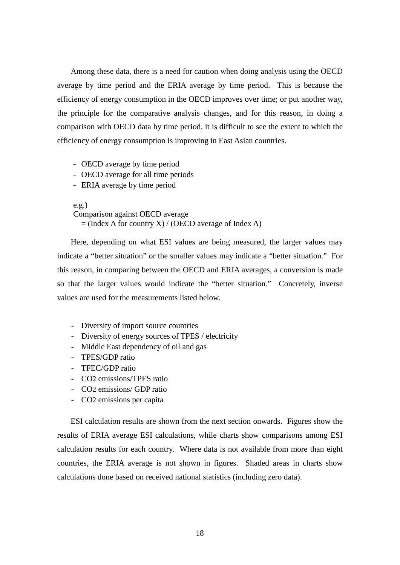Among these data, there is a need for caution when doing analysis using the OECD average by time period and the ERIA average by time period. This is because the efficiency of energy consumption in the OECD improves over time; or put another way, the principle for the comparative analysis changes, and for this reason, in doing a comparison with OECD data by time period, it is difficult to see the extent to which the efficiency of energy consumption is improving in East Asian countries.

- OECD average by time period
- OECD average for all time periods
- ERIA average by time period

e.g.) Comparison against OECD average  $=$  (Index A for country X) / (OECD average of Index A)

Here, depending on what ESI values are being measured, the larger values may indicate a "better situation" or the smaller values may indicate a "better situation." For this reason, in comparing between the OECD and ERIA averages, a conversion is made so that the larger values would indicate the "better situation." Concretely, inverse values are used for the measurements listed below.

- Diversity of import source countries
- Diversity of energy sources of TPES / electricity
- Middle East dependency of oil and gas
- TPES/GDP ratio
- TFEC/GDP ratio
- CO2 emissions/TPES ratio
- CO2 emissions/ GDP ratio
- CO2 emissions per capita

ESI calculation results are shown from the next section onwards. Figures show the results of ERIA average ESI calculations, while charts show comparisons among ESI calculation results for each country. Where data is not available from more than eight countries, the ERIA average is not shown in figures. Shaded areas in charts show calculations done based on received national statistics (including zero data).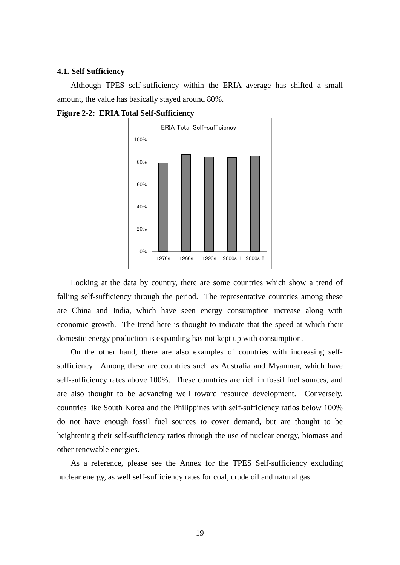#### **4.1. Self Sufficiency**

Although TPES self-sufficiency within the ERIA average has shifted a small amount, the value has basically stayed around 80%.



**Figure 2-2: ERIA Total Self-Sufficiency**

Looking at the data by country, there are some countries which show a trend of falling self-sufficiency through the period. The representative countries among these are China and India, which have seen energy consumption increase along with economic growth. The trend here is thought to indicate that the speed at which their domestic energy production is expanding has not kept up with consumption.

On the other hand, there are also examples of countries with increasing selfsufficiency. Among these are countries such as Australia and Myanmar, which have self-sufficiency rates above 100%. These countries are rich in fossil fuel sources, and are also thought to be advancing well toward resource development. Conversely, countries like South Korea and the Philippines with self-sufficiency ratios below 100% do not have enough fossil fuel sources to cover demand, but are thought to be heightening their self-sufficiency ratios through the use of nuclear energy, biomass and other renewable energies.

As a reference, please see the Annex for the TPES Self-sufficiency excluding nuclear energy, as well self-sufficiency rates for coal, crude oil and natural gas.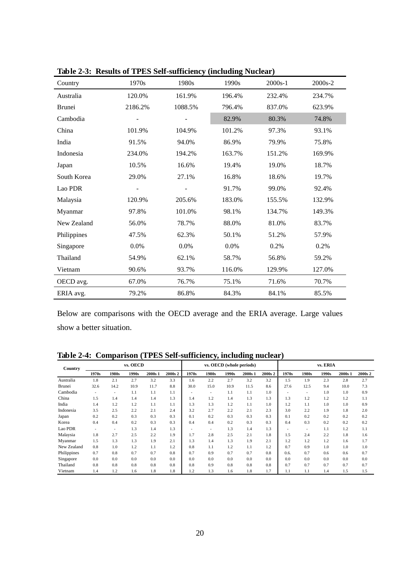| Country       | 1970s   | 1980s   | 1990s  | $2000s-1$ | $2000s - 2$ |
|---------------|---------|---------|--------|-----------|-------------|
| Australia     | 120.0%  | 161.9%  | 196.4% | 232.4%    | 234.7%      |
| <b>Brunei</b> | 2186.2% | 1088.5% | 796.4% | 837.0%    | 623.9%      |
| Cambodia      |         |         | 82.9%  | 80.3%     | 74.8%       |
| China         | 101.9%  | 104.9%  | 101.2% | 97.3%     | 93.1%       |
| India         | 91.5%   | 94.0%   | 86.9%  | 79.9%     | 75.8%       |
| Indonesia     | 234.0%  | 194.2%  | 163.7% | 151.2%    | 169.9%      |
| Japan         | 10.5%   | 16.6%   | 19.4%  | 19.0%     | 18.7%       |
| South Korea   | 29.0%   | 27.1%   | 16.8%  | 18.6%     | 19.7%       |
| Lao PDR       |         |         | 91.7%  | 99.0%     | 92.4%       |
| Malaysia      | 120.9%  | 205.6%  | 183.0% | 155.5%    | 132.9%      |
| Myanmar       | 97.8%   | 101.0%  | 98.1%  | 134.7%    | 149.3%      |
| New Zealand   | 56.0%   | 78.7%   | 88.0%  | 81.0%     | 83.7%       |
| Philippines   | 47.5%   | 62.3%   | 50.1%  | 51.2%     | 57.9%       |
| Singapore     | 0.0%    | 0.0%    | 0.0%   | 0.2%      | 0.2%        |
| Thailand      | 54.9%   | 62.1%   | 58.7%  | 56.8%     | 59.2%       |
| Vietnam       | 90.6%   | 93.7%   | 116.0% | 129.9%    | 127.0%      |
| OECD avg.     | 67.0%   | 76.7%   | 75.1%  | 71.6%     | 70.7%       |
| ERIA avg.     | 79.2%   | 86.8%   | 84.3%  | 84.1%     | 85.5%       |

**Table 2-3: Results of TPES Self-sufficiency (including Nuclear)**

Below are comparisons with the OECD average and the ERIA average. Large values show a better situation.

**Table 2-4: Comparison (TPES Self-sufficiency, including nuclear)**

| Country     | vs. OECD                 |                          |       |         |         | vs. OECD (whole periods) |       |       |         |         | vs. ERIA                 |                          |       |         |                    |
|-------------|--------------------------|--------------------------|-------|---------|---------|--------------------------|-------|-------|---------|---------|--------------------------|--------------------------|-------|---------|--------------------|
|             | 1970s                    | 1980s                    | 1990s | 2000s 1 | 2000s 2 | 1970s                    | 1980s | 1990s | 2000s 1 | 2000s 2 | 1970s                    | 1980s                    | 1990s | 2000s 1 | 2000s <sub>2</sub> |
| Australia   | 1.8                      | 2.1                      | 2.7   | 3.2     | 3.3     | 1.6                      | 2.2   | 2.7   | 3.2     | 3.2     | 1.5                      | 1.9                      | 2.3   | 2.8     | 2.7                |
| Brunei      | 32.6                     | 14.2                     | 10.9  | 11.7    | 8.8     | 30.0                     | 15.0  | 10.9  | 11.5    | 8.6     | 27.6                     | 12.5                     | 9.4   | 10.0    | 7.3                |
| Cambodia    | $\overline{\phantom{a}}$ | $\overline{\phantom{a}}$ | 1.1   | 1.1     | 1.1     |                          | ٠     | 1.1   | 1.1     | 1.0     | $\overline{\phantom{0}}$ | $\overline{\phantom{a}}$ | 1.0   | 1.0     | 0.9                |
| China       | 1.5                      | 1.4                      | 1.4   | 1.4     | 1.3     | 1.4                      | 1.2   | 1.4   | 1.3     | 1.3     | 1.3                      | 1.2                      | 1.2   | 1.2     | 1.1                |
| India       | 1.4                      | 1.2                      | 1.2   | 1.1     | 1.1     | 1.3                      | 1.3   | 1.2   | 1.1     | 1.0     | 1.2                      | 1.1                      | 1.0   | 1.0     | 0.9                |
| Indonesia   | 3.5                      | 2.5                      | 2.2   | 2.1     | 2.4     | 3.2                      | 2.7   | 2.2   | 2.1     | 2.3     | 3.0                      | 2.2                      | 1.9   | 1.8     | 2.0                |
| Japan       | 0.2                      | 0.2                      | 0.3   | 0.3     | 0.3     | 0.1                      | 0.2   | 0.3   | 0.3     | 0.3     | 0.1                      | 0.2                      | 0.2   | 0.2     | 0.2                |
| Korea       | 0.4                      | 0.4                      | 0.2   | 0.3     | 0.3     | 0.4                      | 0.4   | 0.2   | 0.3     | 0.3     | 0.4                      | 0.3                      | 0.2   | 0.2     | 0.2                |
| Lao PDR     | ٠                        | $\overline{\phantom{a}}$ | 1.3   | 1.4     | 1.3     | $\overline{\phantom{a}}$ | ٠     | 1.3   | 1.4     | 1.3     | $\overline{\phantom{0}}$ | $\overline{a}$           | 1.1   | 1.2     | 1.1                |
| Malaysia    | 1.8                      | 2.7                      | 2.5   | 2.2     | 1.9     | 1.7                      | 2.8   | 2.5   | 2.1     | 1.8     | 1.5                      | 2.4                      | 2.2   | 1.8     | 1.6                |
| Myanmar     | 1.5                      | 1.3                      | 1.3   | 1.9     | 2.1     | 1.3                      | 1.4   | 1.3   | 1.9     | 2.1     | 1.2                      | 1.2                      | 1.2   | 1.6     | 1.7                |
| New Zealand | 0.8                      | 1.0                      | 1.2   | 1.1     | 1.2     | 0.8                      | 1.1   | 1.2   | 1.1     | 1.2     | 0.7                      | 0.9                      | 1.0   | 1.0     | 1.0                |
| Philippines | 0.7                      | 0.8                      | 0.7   | 0.7     | 0.8     | 0.7                      | 0.9   | 0.7   | 0.7     | 0.8     | 0.6.                     | 0.7                      | 0.6   | 0.6     | 0.7                |
| Singapore   | 0.0                      | 0.0                      | 0.0   | 0.0     | 0.0     | 0.0                      | 0.0   | 0.0   | 0.0     | 0.0     | 0.0                      | 0.0                      | 0.0   | 0.0     | 0.0                |
| Thailand    | 0.8                      | 0.8                      | 0.8   | 0.8     | 0.8     | 0.8                      | 0.9   | 0.8   | 0.8     | 0.8     | 0.7                      | 0.7                      | 0.7   | 0.7     | 0.7                |
| Vietnam     | 1.4                      | 1.2                      | 1.6   | 1.8     | 1.8     | 1.2                      | 1.3   | 1.6   | 1.8     | 1.7     | 1.1                      | 1.1                      | 1.4   | 1.5     | 1.5                |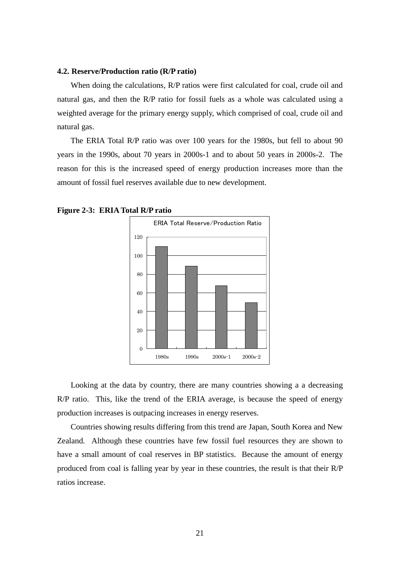#### **4.2. Reserve/Production ratio (R/P ratio)**

When doing the calculations, R/P ratios were first calculated for coal, crude oil and natural gas, and then the R/P ratio for fossil fuels as a whole was calculated using a weighted average for the primary energy supply, which comprised of coal, crude oil and natural gas.

The ERIA Total R/P ratio was over 100 years for the 1980s, but fell to about 90 years in the 1990s, about 70 years in 2000s-1 and to about 50 years in 2000s-2. The reason for this is the increased speed of energy production increases more than the amount of fossil fuel reserves available due to new development.



**Figure 2-3: ERIA Total R/P ratio**

Looking at the data by country, there are many countries showing a a decreasing R/P ratio. This, like the trend of the ERIA average, is because the speed of energy production increases is outpacing increases in energy reserves.

Countries showing results differing from this trend are Japan, South Korea and New Zealand. Although these countries have few fossil fuel resources they are shown to have a small amount of coal reserves in BP statistics. Because the amount of energy produced from coal is falling year by year in these countries, the result is that their R/P ratios increase.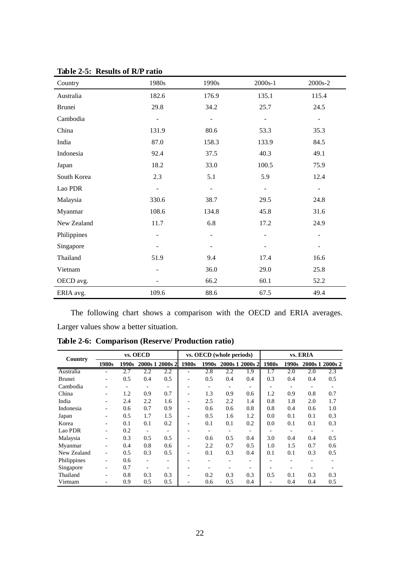| Country     | 1980s                    | 1990s                    | $2000s-1$ | 2000s-2                  |
|-------------|--------------------------|--------------------------|-----------|--------------------------|
| Australia   | 182.6                    | 176.9                    | 135.1     | 115.4                    |
| Brunei      | 29.8                     | 34.2                     | 25.7      | 24.5                     |
| Cambodia    | -                        |                          | ÷         | $\overline{\phantom{a}}$ |
| China       | 131.9                    | 80.6                     | 53.3      | 35.3                     |
| India       | 87.0                     | 158.3                    | 133.9     | 84.5                     |
| Indonesia   | 92.4                     | 37.5                     | 40.3      | 49.1                     |
| Japan       | 18.2                     | 33.0                     | 100.5     | 75.9                     |
| South Korea | 2.3                      | 5.1                      | 5.9       | 12.4                     |
| Lao PDR     | $\overline{\phantom{0}}$ | $\overline{\phantom{a}}$ | -         | $\overline{\phantom{a}}$ |
| Malaysia    | 330.6                    | 38.7                     | 29.5      | 24.8                     |
| Myanmar     | 108.6                    | 134.8                    | 45.8      | 31.6                     |
| New Zealand | 11.7                     | 6.8                      | 17.2      | 24.9                     |
| Philippines | $\overline{a}$           | $\overline{\phantom{a}}$ |           |                          |
| Singapore   |                          |                          |           |                          |
| Thailand    | 51.9                     | 9.4                      | 17.4      | 16.6                     |
| Vietnam     |                          | 36.0                     | 29.0      | 25.8                     |
| OECD avg.   |                          | 66.2                     | 60.1      | 52.2                     |
| ERIA avg.   | 109.6                    | 88.6                     | 67.5      | 49.4                     |

**Table 2-5: Results of R/P ratio**

The following chart shows a comparison with the OECD and ERIA averages. Larger values show a better situation.

| Country       |                          |       | vs. OECD                 |                 | vs. OECD (whole periods) |       |     |                          | vs. ERIA |                              |     |                 |
|---------------|--------------------------|-------|--------------------------|-----------------|--------------------------|-------|-----|--------------------------|----------|------------------------------|-----|-----------------|
|               | 1980s                    | 1990s |                          | 2000s 1 2000s 2 | 1980s                    | 1990s |     | 2000s 1 2000s 2          | 1980s    | 1990s                        |     | 2000s 1 2000s 2 |
| Australia     | -                        | 2.7   | 2.2                      | 2.2             | -                        | 2.8   | 2.2 | 1.9                      | 1.7      | 2.0                          | 2.0 | 2.3             |
| <b>Brunei</b> |                          | 0.5   | 0.4                      | 0.5             |                          | 0.5   | 0.4 | 0.4                      | 0.3      | 0.4                          | 0.4 | 0.5             |
| Cambodia      |                          |       | $\overline{\phantom{a}}$ |                 |                          |       |     | $\overline{\phantom{a}}$ |          | $\qquad \qquad \blacksquare$ |     |                 |
| China         | -                        | 1.2   | 0.9                      | 0.7             |                          | 1.3   | 0.9 | 0.6                      | 1.2      | 0.9                          | 0.8 | 0.7             |
| India         |                          | 2.4   | 2.2                      | 1.6             |                          | 2.5   | 2.2 | 1.4                      | 0.8      | 1.8                          | 2.0 | 1.7             |
| Indonesia     |                          | 0.6   | 0.7                      | 0.9             |                          | 0.6   | 0.6 | 0.8                      | 0.8      | 0.4                          | 0.6 | 1.0             |
| Japan         | -                        | 0.5   | 1.7                      | 1.5             |                          | 0.5   | 1.6 | 1.2                      | 0.0      | 0.1                          | 0.1 | 0.3             |
| Korea         |                          | 0.1   | 0.1                      | 0.2             |                          | 0.1   | 0.1 | 0.2                      | 0.0      | 0.1                          | 0.1 | 0.3             |
| Lao PDR       |                          | 0.2   |                          |                 |                          |       |     | -                        |          |                              |     |                 |
| Malaysia      |                          | 0.3   | 0.5                      | 0.5             |                          | 0.6   | 0.5 | 0.4                      | 3.0      | 0.4                          | 0.4 | 0.5             |
| Myanmar       |                          | 0.4   | 0.8                      | 0.6             |                          | 2.2   | 0.7 | 0.5                      | 1.0      | 1.5                          | 0.7 | 0.6             |
| New Zealand   | $\overline{\phantom{a}}$ | 0.5   | 0.3                      | 0.5             | ۰                        | 0.1   | 0.3 | 0.4                      | 0.1      | 0.1                          | 0.3 | 0.5             |
| Philippines   | -                        | 0.6   |                          |                 |                          |       |     | -                        |          |                              |     |                 |
| Singapore     | -                        | 0.7   |                          |                 |                          |       |     | -                        |          |                              |     |                 |
| Thailand      |                          | 0.8   | 0.3                      | 0.3             |                          | 0.2   | 0.3 | 0.3                      | 0.5      | 0.1                          | 0.3 | 0.3             |
| Vietnam       |                          | 0.9   | 0.5                      | 0.5             |                          | 0.6   | 0.5 | 0.4                      |          | 0.4                          | 0.4 | 0.5             |

**Table 2-6: Comparison (Reserve/ Production ratio)**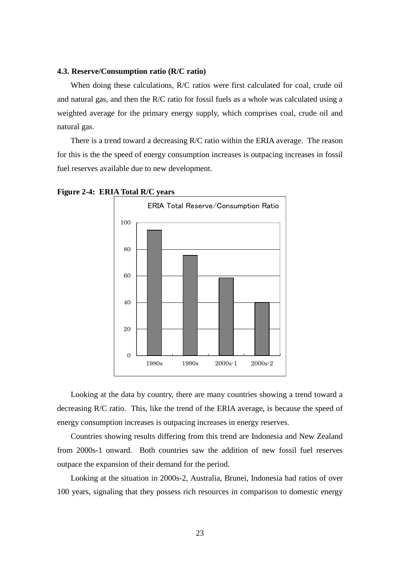#### **4.3. Reserve/Consumption ratio (R/C ratio)**

When doing these calculations, R/C ratios were first calculated for coal, crude oil and natural gas, and then the R/C ratio for fossil fuels as a whole was calculated using a weighted average for the primary energy supply, which comprises coal, crude oil and natural gas.

There is a trend toward a decreasing R/C ratio within the ERIA average. The reason for this is the the speed of energy consumption increases is outpacing increases in fossil fuel reserves available due to new development.



**Figure 2-4: ERIA Total R/C years**

Looking at the data by country, there are many countries showing a trend toward a decreasing R/C ratio. This, like the trend of the ERIA average, is because the speed of energy consumption increases is outpacing increases in energy reserves.

Countries showing results differing from this trend are Indonesia and New Zealand from 2000s-1 onward. Both countries saw the addition of new fossil fuel reserves outpace the expansion of their demand for the period.

Looking at the situation in 2000s-2, Australia, Brunei, Indonesia had ratios of over 100 years, signaling that they possess rich resources in comparison to domestic energy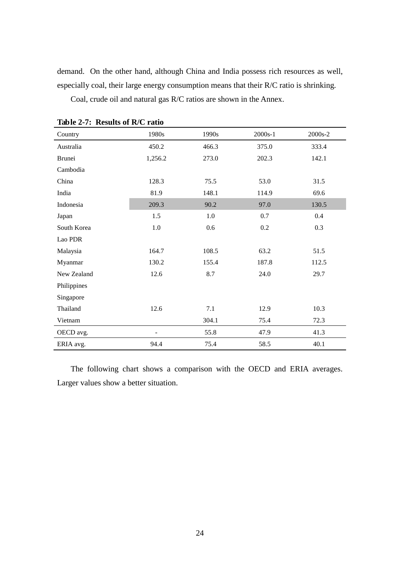demand. On the other hand, although China and India possess rich resources as well, especially coal, their large energy consumption means that their R/C ratio is shrinking.

Coal, crude oil and natural gas R/C ratios are shown in the Annex.

| Country     | 1980s   | 1990s | 2000s-1 | 2000s-2 |
|-------------|---------|-------|---------|---------|
| Australia   | 450.2   | 466.3 | 375.0   | 333.4   |
| Brunei      | 1,256.2 | 273.0 | 202.3   | 142.1   |
| Cambodia    |         |       |         |         |
| China       | 128.3   | 75.5  | 53.0    | 31.5    |
| India       | 81.9    | 148.1 | 114.9   | 69.6    |
| Indonesia   | 209.3   | 90.2  | 97.0    | 130.5   |
| Japan       | 1.5     | 1.0   | 0.7     | 0.4     |
| South Korea | 1.0     | 0.6   | 0.2     | 0.3     |
| Lao PDR     |         |       |         |         |
| Malaysia    | 164.7   | 108.5 | 63.2    | 51.5    |
| Myanmar     | 130.2   | 155.4 | 187.8   | 112.5   |
| New Zealand | 12.6    | 8.7   | 24.0    | 29.7    |
| Philippines |         |       |         |         |
| Singapore   |         |       |         |         |
| Thailand    | 12.6    | 7.1   | 12.9    | 10.3    |
| Vietnam     |         | 304.1 | 75.4    | 72.3    |
| OECD avg.   |         | 55.8  | 47.9    | 41.3    |
| ERIA avg.   | 94.4    | 75.4  | 58.5    | 40.1    |

**Table 2-7: Results of R/C ratio**

The following chart shows a comparison with the OECD and ERIA averages. Larger values show a better situation.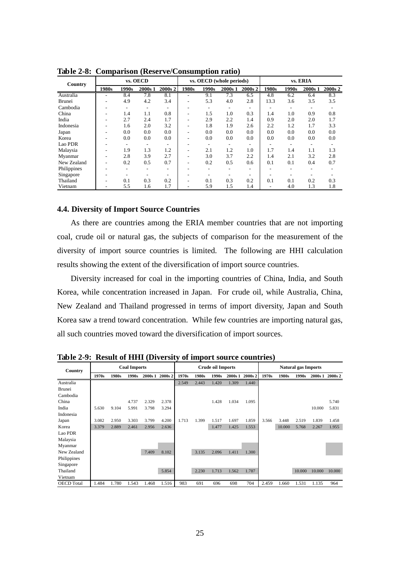| Country       |       |                          | vs. OECD |                          |                              | vs. OECD (whole periods) |         |                          |       | vs. ERIA |         |         |  |
|---------------|-------|--------------------------|----------|--------------------------|------------------------------|--------------------------|---------|--------------------------|-------|----------|---------|---------|--|
|               | 1980s | 1990s                    | 2000s 1  | 2000s 2                  | 1980s                        | 1990s                    | 2000s 1 | 2000s 2                  | 1980s | 1990s    | 2000s 1 | 2000s 2 |  |
| Australia     |       | 8.4                      | 7.8      | 8.1                      | ۰                            | 9.1                      | 7.3     | 6.5                      | 4.8   | 6.2      | 6.4     | 8.3     |  |
| <b>Brunei</b> |       | 4.9                      | 4.2      | 3.4                      | -                            | 5.3                      | 4.0     | 2.8                      | 13.3  | 3.6      | 3.5     | 3.5     |  |
| Cambodia      |       | $\overline{\phantom{a}}$ |          |                          | ۰                            |                          |         | $\overline{\phantom{a}}$ |       |          |         |         |  |
| China         |       | 1.4                      | 1.1      | 0.8                      | -                            | 1.5                      | 1.0     | 0.3                      | 1.4   | 1.0      | 0.9     | 0.8     |  |
| India         | ٠     | 2.7                      | 2.4      | 1.7                      | -                            | 2.9                      | 2.2     | 1.4                      | 0.9   | 2.0      | 2.0     | 1.7     |  |
| Indonesia     | -     | 1.6                      | 2.0      | 3.2                      | -                            | 1.8                      | 1.9     | 2.6                      | 2.2   | 1.2      | 1.7     | 3.3     |  |
| Japan         | -     | 0.0                      | 0.0      | 0.0                      | $\qquad \qquad \blacksquare$ | 0.0                      | 0.0     | 0.0                      | 0.0   | 0.0      | 0.0     | 0.0     |  |
| Korea         |       | 0.0                      | 0.0      | 0.0                      | -                            | 0.0                      | 0.0     | 0.0                      | 0.0   | 0.0      | 0.0     | 0.0     |  |
| Lao PDR       |       | $\overline{\phantom{a}}$ |          | $\overline{\phantom{a}}$ | ۰                            |                          | -       | $\overline{\phantom{a}}$ |       |          |         |         |  |
| Malaysia      | ٠     | 1.9                      | 1.3      | 1.2                      | $\overline{\phantom{a}}$     | 2.1                      | 1.2     | 1.0                      | 1.7   | 1.4      | 1.1     | 1.3     |  |
| Myanmar       | ٠     | 2.8                      | 3.9      | 2.7                      | $\qquad \qquad \blacksquare$ | 3.0                      | 3.7     | 2.2                      | 1.4   | 2.1      | 3.2     | 2.8     |  |
| New Zealand   | ٠     | 0.2                      | 0.5      | 0.7                      | -                            | 0.2                      | 0.5     | 0.6                      | 0.1   | 0.1      | 0.4     | 0.7     |  |
| Philippines   |       | $\overline{\phantom{0}}$ |          |                          | -                            |                          |         |                          |       |          |         |         |  |
| Singapore     |       |                          |          |                          |                              |                          |         |                          |       |          |         |         |  |
| Thailand      | ۰     | 0.1                      | 0.3      | 0.2                      | ٠                            | 0.1                      | 0.3     | 0.2                      | 0.1   | 0.1      | 0.2     | 0.3     |  |
| Vietnam       |       | 5.5                      | 1.6      | 1.7                      | -                            | 5.9                      | 1.5     | 1.4                      |       | 4.0      | 1.3     | 1.8     |  |

**Table 2-8: Comparison (Reserve/Consumption ratio)**

#### **4.4. Diversity of Import Source Countries**

As there are countries among the ERIA member countries that are not importing coal, crude oil or natural gas, the subjects of comparison for the measurement of the diversity of import source countries is limited. The following are HHI calculation results showing the extent of the diversification of import source countries.

Diversity increased for coal in the importing countries of China, India, and South Korea, while concentration increased in Japan. For crude oil, while Australia, China, New Zealand and Thailand progressed in terms of import diversity, Japan and South Korea saw a trend toward concentration. While few countries are importing natural gas, all such countries moved toward the diversification of import sources.

| <b>Country</b>    |       | <b>Coal Imports</b><br>2000s 1 |       |       | <b>Crude oil Imports</b> |       |       |       | <b>Natural gas Imports</b> |         |       |        |        |         |         |
|-------------------|-------|--------------------------------|-------|-------|--------------------------|-------|-------|-------|----------------------------|---------|-------|--------|--------|---------|---------|
|                   | 1970s | 1980s                          | 1990s |       | 2000s 2                  | 1970s | 1980s | 1990s | 2000s 1                    | 2000s 2 | 1970s | 1980s  | 1990s  | 2000s 1 | 2000s 2 |
| Australia         |       |                                |       |       |                          | 2.549 | 2.443 | 1.420 | 1.309                      | 1.440   |       |        |        |         |         |
| Brunei            |       |                                |       |       |                          |       |       |       |                            |         |       |        |        |         |         |
| Cambodia          |       |                                |       |       |                          |       |       |       |                            |         |       |        |        |         |         |
| China             |       |                                | 4.737 | 2.329 | 2.378                    |       |       | 1.428 | 1.034                      | 1.095   |       |        |        |         | 5.740   |
| India             | 5.630 | 9.104                          | 5.991 | 3.798 | 3.294                    |       |       |       |                            |         |       |        |        | 10.000  | 5.831   |
| Indonesia         |       |                                |       |       |                          |       |       |       |                            |         |       |        |        |         |         |
| Japan             | 3.082 | 2.950                          | 3.303 | 3.799 | 4.200                    | 1.713 | 1.399 | 1.517 | 1.697                      | 1.859   | 3.566 | 3.448  | 2.519  | 1.839   | 1.458   |
| Korea             | 3.379 | 2.889                          | 2.461 | 2.956 | 2.636                    |       |       | 1.477 | 1.425                      | 1.553   |       | 10.000 | 5.768  | 2.267   | 1.955   |
| Lao PDR           |       |                                |       |       |                          |       |       |       |                            |         |       |        |        |         |         |
| Malaysia          |       |                                |       |       |                          |       |       |       |                            |         |       |        |        |         |         |
| Myanmar           |       |                                |       |       |                          |       |       |       |                            |         |       |        |        |         |         |
| New Zealand       |       |                                |       | 7.409 | 8.102                    |       | 3.135 | 2.096 | 1.411                      | 1.300   |       |        |        |         |         |
| Philippines       |       |                                |       |       |                          |       |       |       |                            |         |       |        |        |         |         |
| Singapore         |       |                                |       |       |                          |       |       |       |                            |         |       |        |        |         |         |
| Thailand          |       |                                |       |       | 5.854                    |       | 2.230 | 1.713 | 1.562                      | 1.787   |       |        | 10.000 | 10.000  | 10.000  |
| Vietnam           |       |                                |       |       |                          |       |       |       |                            |         |       |        |        |         |         |
| <b>OECD</b> Total | 1.484 | 1.780                          | 1.543 | 1.468 | 1.516                    | 983   | 691   | 696   | 698                        | 704     | 2.459 | 1.660  | 1.531  | 1.135   | 964     |

**Table 2-9: Result of HHI (Diversity of import source countries)**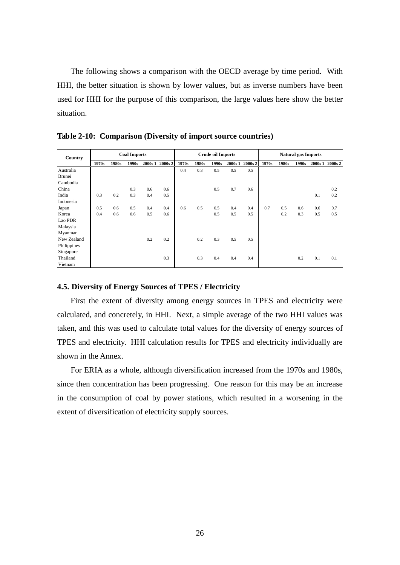The following shows a comparison with the OECD average by time period. With HHI, the better situation is shown by lower values, but as inverse numbers have been used for HHI for the purpose of this comparison, the large values here show the better situation.

| Country       |       |       | <b>Coal Imports</b> |     |                 | <b>Crude oil Imports</b> |       |       | <b>Natural gas Imports</b> |         |       |       |       |     |                 |
|---------------|-------|-------|---------------------|-----|-----------------|--------------------------|-------|-------|----------------------------|---------|-------|-------|-------|-----|-----------------|
|               | 1970s | 1980s | 1990s               |     | 2000s 1 2000s 2 | 1970s                    | 1980s | 1990s | 2000s 1                    | 2000s 2 | 1970s | 1980s | 1990s |     | 2000s 1 2000s 2 |
| Australia     |       |       |                     |     |                 | 0.4                      | 0.3   | 0.5   | 0.5                        | 0.5     |       |       |       |     |                 |
| <b>Brunei</b> |       |       |                     |     |                 |                          |       |       |                            |         |       |       |       |     |                 |
| Cambodia      |       |       |                     |     |                 |                          |       |       |                            |         |       |       |       |     |                 |
| China         |       |       | 0.3                 | 0.6 | 0.6             |                          |       | 0.5   | 0.7                        | 0.6     |       |       |       |     | 0.2             |
| India         | 0.3   | 0.2   | 0.3                 | 0.4 | 0.5             |                          |       |       |                            |         |       |       |       | 0.1 | 0.2             |
| Indonesia     |       |       |                     |     |                 |                          |       |       |                            |         |       |       |       |     |                 |
| Japan         | 0.5   | 0.6   | 0.5                 | 0.4 | 0.4             | 0.6                      | 0.5   | 0.5   | 0.4                        | 0.4     | 0.7   | 0.5   | 0.6   | 0.6 | 0.7             |
| Korea         | 0.4   | 0.6   | 0.6                 | 0.5 | 0.6             |                          |       | 0.5   | 0.5                        | 0.5     |       | 0.2   | 0.3   | 0.5 | 0.5             |
| Lao PDR       |       |       |                     |     |                 |                          |       |       |                            |         |       |       |       |     |                 |
| Malaysia      |       |       |                     |     |                 |                          |       |       |                            |         |       |       |       |     |                 |
| Myanmar       |       |       |                     |     |                 |                          |       |       |                            |         |       |       |       |     |                 |
| New Zealand   |       |       |                     | 0.2 | 0.2             |                          | 0.2   | 0.3   | 0.5                        | 0.5     |       |       |       |     |                 |
| Philippines   |       |       |                     |     |                 |                          |       |       |                            |         |       |       |       |     |                 |
| Singapore     |       |       |                     |     |                 |                          |       |       |                            |         |       |       |       |     |                 |
| Thailand      |       |       |                     |     | 0.3             |                          | 0.3   | 0.4   | 0.4                        | 0.4     |       |       | 0.2   | 0.1 | 0.1             |
| Vietnam       |       |       |                     |     |                 |                          |       |       |                            |         |       |       |       |     |                 |

**Table 2-10: Comparison (Diversity of import source countries)**

#### **4.5. Diversity of Energy Sources of TPES / Electricity**

First the extent of diversity among energy sources in TPES and electricity were calculated, and concretely, in HHI. Next, a simple average of the two HHI values was taken, and this was used to calculate total values for the diversity of energy sources of TPES and electricity. HHI calculation results for TPES and electricity individually are shown in the Annex.

For ERIA as a whole, although diversification increased from the 1970s and 1980s, since then concentration has been progressing. One reason for this may be an increase in the consumption of coal by power stations, which resulted in a worsening in the extent of diversification of electricity supply sources.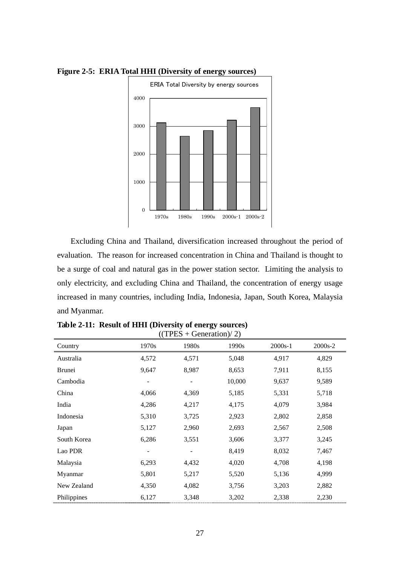

**Figure 2-5: ERIA Total HHI (Diversity of energy sources)**

Excluding China and Thailand, diversification increased throughout the period of evaluation. The reason for increased concentration in China and Thailand is thought to be a surge of coal and natural gas in the power station sector. Limiting the analysis to only electricity, and excluding China and Thailand, the concentration of energy usage increased in many countries, including India, Indonesia, Japan, South Korea, Malaysia and Myanmar.

| Country     | ``<br>1970s | 1980s | 1990s  | $2000s-1$ | 2000s-2 |
|-------------|-------------|-------|--------|-----------|---------|
| Australia   | 4,572       | 4,571 | 5,048  | 4,917     | 4,829   |
| Brunei      | 9,647       | 8,987 | 8,653  | 7,911     | 8,155   |
| Cambodia    |             |       | 10,000 | 9,637     | 9,589   |
| China       | 4,066       | 4,369 | 5,185  | 5,331     | 5,718   |
| India       | 4,286       | 4,217 | 4,175  | 4,079     | 3,984   |
| Indonesia   | 5,310       | 3,725 | 2,923  | 2,802     | 2,858   |
| Japan       | 5,127       | 2,960 | 2,693  | 2,567     | 2,508   |
| South Korea | 6,286       | 3,551 | 3,606  | 3,377     | 3,245   |
| Lao PDR     |             |       | 8,419  | 8,032     | 7,467   |
| Malaysia    | 6,293       | 4,432 | 4,020  | 4,708     | 4,198   |
| Myanmar     | 5,801       | 5,217 | 5,520  | 5,136     | 4,999   |
| New Zealand | 4,350       | 4,082 | 3,756  | 3,203     | 2,882   |
| Philippines | 6,127       | 3,348 | 3,202  | 2,338     | 2,230   |

**Table 2-11: Result of HHI (Diversity of energy sources)**  $((TPES + Generation)/2)$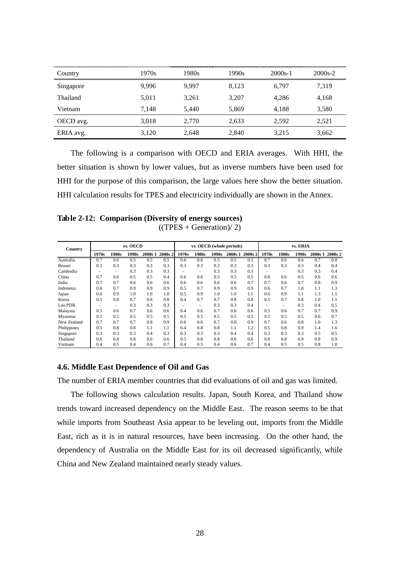| Country   | 1970s | 1980s | 1990s | $2000s-1$ | $2000s-2$ |
|-----------|-------|-------|-------|-----------|-----------|
| Singapore | 9.996 | 9.997 | 8.123 | 6.797     | 7.319     |
| Thailand  | 5,011 | 3,261 | 3,207 | 4.286     | 4,168     |
| Vietnam   | 7.148 | 5.440 | 5,869 | 4.188     | 3,580     |
| OECD avg. | 3,018 | 2,770 | 2,633 | 2.592     | 2,521     |
| ERIA avg. | 3,120 | 2,648 | 2,840 | 3,215     | 3,662     |

The following is a comparison with OECD and ERIA averages. With HHI, the better situation is shown by lower values, but as inverse numbers have been used for HHI for the purpose of this comparison, the large values here show the better situation. HHI calculation results for TPES and electricity individually are shown in the Annex.

**Table 2-12: Comparison (Diversity of energy sources)**  $((TPES + Generation)/ 2)$ 

| Country     | vs. OECD |       |       |         | vs. OECD (whole periods) |       |                          |       | vs. ERIA |         |       |       |       |         |         |
|-------------|----------|-------|-------|---------|--------------------------|-------|--------------------------|-------|----------|---------|-------|-------|-------|---------|---------|
|             | 1970s    | 1980s | 1990s | 2000s 1 | 2000s 2                  | 1970s | 1980s                    | 1990s | 2000s 1  | 2000s 2 | 1970s | 1980s | 1990s | 2000s 1 | 2000s 2 |
| Australia   | 0.7      | 0.6   | 0.5   | 0.5     | 0.5                      | 0.6   | 0.6                      | 0.5   | 0.5      | 0.5     | 0.7   | 0.6   | 0.6   | 0.7     | 0.8     |
| Brunei      | 0.3      | 0.3   | 0.3   | 0.3     | 0.3                      | 0.3   | 0.3                      | 0.3   | 0.3      | 0.3     | 0.3   | 0.3   | 0.3   | 0.4     | 0.4     |
| Cambodia    |          |       | 0.3   | 0.3     | 0.3                      |       |                          | 0.3   | 0.3      | 0.3     |       |       | 0.3   | 0.3     | 0.4     |
| China       | 0.7      | 0.6   | 0.5   | 0.5     | 0.4                      | 0.6   | 0.6                      | 0.5   | 0.5      | 0.5     | 0.8   | 0.6   | 0.5   | 0.6     | 0.6     |
| India       | 0.7      | 0.7   | 0.6   | 0.6     | 0.6                      | 0.6   | 0.6                      | 0.6   | 0.6      | 0.7     | 0.7   | 0.6   | 0.7   | 0.8     | 0.9     |
| Indonesia   | 0.6      | 0.7   | 0.9   | 0.9     | 0.9                      | 0.5   | 0.7                      | 0.9   | 0.9      | 0.9     | 0.6   | 0.7   | 1.0   | 1.1     | 1.3     |
| Japan       | 0.6      | 0.9   | 1.0   | 1.0     | 1.0                      | 0.5   | 0.9                      | 1.0   | 1.0      | 1.1     | 0.6   | 0.9   | 1.1   | 1.3     | 1.5     |
| Korea       | 0.5      | 0.8   | 0.7   | 0.8     | 0.8                      | 0.4   | 0.7                      | 0.7   | 0.8      | 0.8     | 0.5   | 0.7   | 0.8   | 1.0     | 1.1     |
| Lao PDR     |          | ٠     | 0.3   | 0.3     | 0.3                      |       | $\overline{\phantom{a}}$ | 0.3   | 0.3      | 0.4     |       | ۰     | 0.3   | 0.4     | 0.5     |
| Malaysia    | 0.5      | 0.6   | 0.7   | 0.6     | 0.6                      | 0.4   | 0.6                      | 0.7   | 0.6      | 0.6     | 0.5   | 0.6   | 0.7   | 0.7     | 0.9     |
| Myanmar     | 0.5      | 0.5   | 0.5   | 0.5     | 0.5                      | 0.5   | 0.5                      | 0.5   | 0.5      | 0.5     | 0.5   | 0.5   | 0.5   | 0.6     | 0.7     |
| New Zealand | 0.7      | 0.7   | 0.7   | 0.8     | 0.9                      | 0.6   | 0.6                      | 0.7   | 0.8      | 0.9     | 0.7   | 0.6   | 0.8   | 1.0     | 1.3     |
| Philippines | 0.5      | 0.8   | 0.8   | 1.1     | 1.1                      | 0.4   | 0.8                      | 0.8   | 1.1      | 1.2     | 0.5   | 0.8   | 0.9   | 1.4     | 1.6     |
| Singapore   | 0.3      | 0.3   | 0.3   | 0.4     | 0.3                      | 0.3   | 0.3                      | 0.3   | 0.4      | 0.4     | 0.3   | 0.3   | 0.3   | 0.5     | 0.5     |
| Thailand    | 0.6      | 0.8   | 0.8   | 0.6     | 0.6                      | 0.5   | 0.8                      | 0.8   | 0.6      | 0.6     | 0.6   | 0.8   | 0.9   | 0.8     | 0.9     |
| Vietnam     | 0.4      | 0.5   | 0.4   | 0.6     | 0.7                      | 0.4   | 0.5                      | 0.4   | 0.6      | 0.7     | 0.4   | 0.5   | 0.5   | 0.8     | 1.0     |

#### **4.6. Middle East Dependence of Oil and Gas**

The number of ERIA member countries that did evaluations of oil and gas was limited.

The following shows calculation results. Japan, South Korea, and Thailand show trends toward increased dependency on the Middle East. The reason seems to be that while imports from Southeast Asia appear to be leveling out, imports from the Middle East, rich as it is in natural resources, have been increasing. On the other hand, the dependency of Australia on the Middle East for its oil decreased significantly, while China and New Zealand maintained nearly steady values.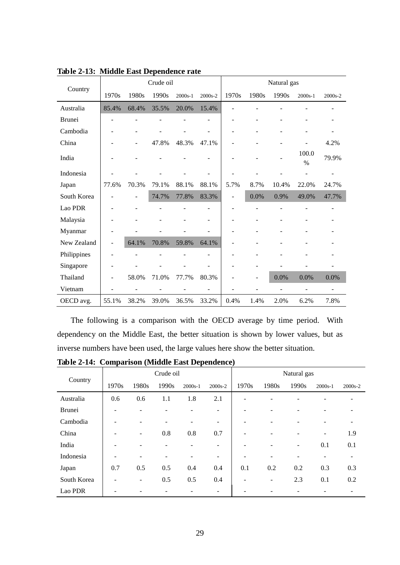|               |                          |                | Crude oil |         |                          | Natural gas              |       |       |               |         |  |
|---------------|--------------------------|----------------|-----------|---------|--------------------------|--------------------------|-------|-------|---------------|---------|--|
| Country       | 1970s                    | 1980s          | 1990s     | 2000s-1 | 2000s-2                  | 1970s                    | 1980s | 1990s | $2000s-1$     | 2000s-2 |  |
| Australia     | 85.4%                    | 68.4%          | 35.5%     | 20.0%   | 15.4%                    |                          |       |       |               |         |  |
| <b>Brunei</b> |                          |                |           |         | $\overline{\phantom{a}}$ | $\overline{\phantom{0}}$ |       |       |               |         |  |
| Cambodia      |                          | $\overline{a}$ |           |         | $\overline{\phantom{m}}$ | $\overline{\phantom{0}}$ |       |       |               |         |  |
| China         |                          |                | 47.8%     | 48.3%   | 47.1%                    |                          |       |       |               | 4.2%    |  |
| India         |                          |                |           |         |                          |                          |       |       | 100.0<br>$\%$ | 79.9%   |  |
| Indonesia     |                          |                |           |         |                          |                          |       |       |               |         |  |
| Japan         | 77.6%                    | 70.3%          | 79.1%     | 88.1%   | 88.1%                    | 5.7%                     | 8.7%  | 10.4% | 22.0%         | 24.7%   |  |
| South Korea   |                          | ÷              | 74.7%     | 77.8%   | 83.3%                    | $\overline{a}$           | 0.0%  | 0.9%  | 49.0%         | 47.7%   |  |
| Lao PDR       |                          |                |           |         | $\overline{\phantom{a}}$ | $\overline{a}$           |       |       |               |         |  |
| Malaysia      |                          |                |           |         | $\overline{\phantom{a}}$ | L.                       |       |       |               |         |  |
| Myanmar       |                          |                |           |         |                          | $\overline{a}$           |       |       |               |         |  |
| New Zealand   | $\overline{\phantom{a}}$ | 64.1%          | 70.8%     | 59.8%   | 64.1%                    | $\overline{a}$           |       |       |               |         |  |
| Philippines   |                          |                |           |         |                          |                          |       |       |               |         |  |
| Singapore     |                          |                |           |         |                          |                          |       |       |               |         |  |
| Thailand      |                          | 58.0%          | 71.0%     | 77.7%   | 80.3%                    |                          |       | 0.0%  | 0.0%          | 0.0%    |  |
| Vietnam       |                          | ÷              |           |         |                          |                          |       | L     |               |         |  |
| OECD avg.     | 55.1%                    | 38.2%          | 39.0%     | 36.5%   | 33.2%                    | 0.4%                     | 1.4%  | 2.0%  | 6.2%          | 7.8%    |  |

**Table 2-13: Middle East Dependence rate**

The following is a comparison with the OECD average by time period. With dependency on the Middle East, the better situation is shown by lower values, but as inverse numbers have been used, the large values here show the better situation.

**Table 2-14: Comparison (Middle East Dependence)**

|               |       |       | Crude oil                |           |         | Natural gas              |       |       |           |         |  |
|---------------|-------|-------|--------------------------|-----------|---------|--------------------------|-------|-------|-----------|---------|--|
| Country       | 1970s | 1980s | 1990s                    | $2000s-1$ | 2000s-2 | 1970s                    | 1980s | 1990s | $2000s-1$ | 2000s-2 |  |
| Australia     | 0.6   | 0.6   | 1.1                      | 1.8       | 2.1     | -                        |       |       |           |         |  |
| <b>Brunei</b> |       |       |                          |           | -       | $\overline{\phantom{a}}$ |       |       |           |         |  |
| Cambodia      |       | -     | $\overline{\phantom{a}}$ |           | -       | $\overline{\phantom{a}}$ |       |       |           |         |  |
| China         |       | -     | 0.8                      | 0.8       | 0.7     | $\overline{\phantom{a}}$ |       |       |           | 1.9     |  |
| India         |       |       |                          |           | -       | $\overline{\phantom{a}}$ |       | ۰     | 0.1       | 0.1     |  |
| Indonesia     |       |       |                          |           | -       | $\overline{\phantom{0}}$ |       |       |           |         |  |
| Japan         | 0.7   | 0.5   | 0.5                      | 0.4       | 0.4     | 0.1                      | 0.2   | 0.2   | 0.3       | 0.3     |  |
| South Korea   |       | ۰     | 0.5                      | 0.5       | 0.4     | $\overline{\phantom{0}}$ | -     | 2.3   | 0.1       | 0.2     |  |
| Lao PDR       |       |       |                          |           |         |                          |       |       |           |         |  |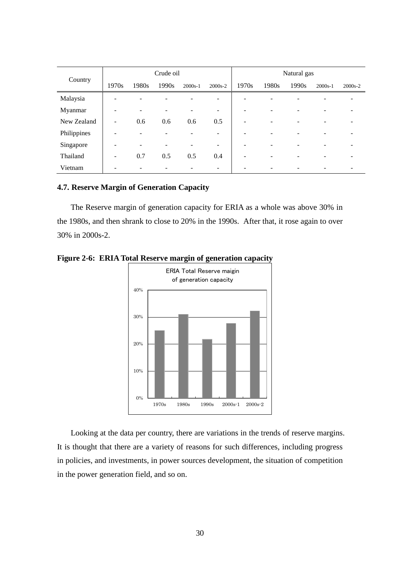|             |       |                          | Crude oil |           |                              | Natural gas |       |       |           |                              |  |
|-------------|-------|--------------------------|-----------|-----------|------------------------------|-------------|-------|-------|-----------|------------------------------|--|
| Country     | 1970s | 1980s                    | 1990s     | $2000s-1$ | 2000s-2                      | 1970s       | 1980s | 1990s | $2000s-1$ | 2000s-2                      |  |
| Malaysia    |       | ۰                        |           |           | $\qquad \qquad \blacksquare$ | ۰           |       |       |           |                              |  |
| Myanmar     | -     | $\overline{\phantom{a}}$ | -         |           | $\overline{\phantom{a}}$     | -           |       | -     |           |                              |  |
| New Zealand | -     | 0.6                      | 0.6       | 0.6       | 0.5                          | ÷           |       | ۰     |           |                              |  |
| Philippines |       | -                        |           |           | -                            |             |       |       |           |                              |  |
| Singapore   |       | -                        |           |           | -                            |             |       |       |           |                              |  |
| Thailand    | -     | 0.7                      | 0.5       | 0.5       | 0.4                          | -           |       | ۰     |           |                              |  |
| Vietnam     |       | -                        | ۰         |           | -                            |             |       | ۰     |           | $\qquad \qquad \blacksquare$ |  |

#### **4.7. Reserve Margin of Generation Capacity**

The Reserve margin of generation capacity for ERIA as a whole was above 30% in the 1980s, and then shrank to close to 20% in the 1990s. After that, it rose again to over 30% in 2000s-2.



**Figure 2-6: ERIA Total Reserve margin of generation capacity**

Looking at the data per country, there are variations in the trends of reserve margins. It is thought that there are a variety of reasons for such differences, including progress in policies, and investments, in power sources development, the situation of competition in the power generation field, and so on.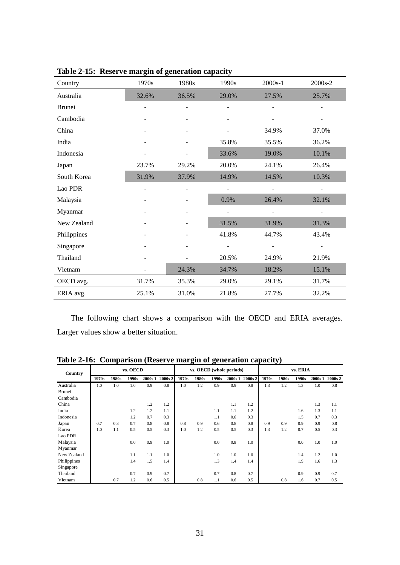| Country     | 1970s                    | 1980s | 1990s                    | $2000s-1$                    | 2000s-2                  |
|-------------|--------------------------|-------|--------------------------|------------------------------|--------------------------|
| Australia   | 32.6%                    | 36.5% | 29.0%                    | 27.5%                        | 25.7%                    |
| Brunei      |                          |       |                          |                              |                          |
| Cambodia    |                          |       |                          |                              |                          |
| China       |                          |       |                          | 34.9%                        | 37.0%                    |
| India       | $\overline{\phantom{0}}$ |       | 35.8%                    | 35.5%                        | 36.2%                    |
| Indonesia   |                          |       | 33.6%                    | 19.0%                        | 10.1%                    |
| Japan       | 23.7%                    | 29.2% | 20.0%                    | 24.1%                        | 26.4%                    |
| South Korea | 31.9%                    | 37.9% | 14.9%                    | 14.5%                        | 10.3%                    |
| Lao PDR     |                          |       | $\overline{\phantom{m}}$ |                              | $\overline{\phantom{a}}$ |
| Malaysia    |                          |       | 0.9%                     | 26.4%                        | 32.1%                    |
| Myanmar     |                          |       | $\overline{a}$           | ÷                            | $\overline{\phantom{a}}$ |
| New Zealand |                          |       | 31.5%                    | 31.9%                        | 31.3%                    |
| Philippines |                          |       | 41.8%                    | 44.7%                        | 43.4%                    |
| Singapore   |                          |       | $\overline{\phantom{0}}$ | $\qquad \qquad \blacksquare$ | $\overline{\phantom{a}}$ |
| Thailand    |                          |       | 20.5%                    | 24.9%                        | 21.9%                    |
| Vietnam     |                          | 24.3% | 34.7%                    | 18.2%                        | 15.1%                    |
| OECD avg.   | 31.7%                    | 35.3% | 29.0%                    | 29.1%                        | 31.7%                    |
| ERIA avg.   | 25.1%                    | 31.0% | 21.8%                    | 27.7%                        | 32.2%                    |

**Table 2-15: Reserve margin of generation capacity**

The following chart shows a comparison with the OECD and ERIA averages. Larger values show a better situation.

| Country     |       |       | vs. OECD |         |         |       |       |       | vs. OECD (whole periods) |         |       |       | vs. ERIA |         |         |
|-------------|-------|-------|----------|---------|---------|-------|-------|-------|--------------------------|---------|-------|-------|----------|---------|---------|
|             | 1970s | 1980s | 1990s    | 2000s 1 | 2000s 2 | 1970s | 1980s | 1990s | 2000s 1                  | 2000s 2 | 1970s | 1980s | 1990s    | 2000s 1 | 2000s 2 |
| Australia   | 1.0   | 1.0   | 1.0      | 0.9     | 0.8     | 1.0   | 1.2   | 0.9   | 0.9                      | 0.8     | 1.3   | 1.2   | 1.3      | 1.0     | 0.8     |
| Brunei      |       |       |          |         |         |       |       |       |                          |         |       |       |          |         |         |
| Cambodia    |       |       |          |         |         |       |       |       |                          |         |       |       |          |         |         |
| China       |       |       |          | 1.2     | 1.2     |       |       |       | 1.1                      | 1.2     |       |       |          | 1.3     | 1.1     |
| India       |       |       | 1.2      | 1.2     | 1.1     |       |       | 1.1   | 1.1                      | 1.2     |       |       | 1.6      | 1.3     | 1.1     |
| Indonesia   |       |       | 1.2      | 0.7     | 0.3     |       |       | 1.1   | 0.6                      | 0.3     |       |       | 1.5      | 0.7     | 0.3     |
| Japan       | 0.7   | 0.8   | 0.7      | 0.8     | 0.8     | 0.8   | 0.9   | 0.6   | 0.8                      | 0.8     | 0.9   | 0.9   | 0.9      | 0.9     | 0.8     |
| Korea       | 1.0   | 1.1   | 0.5      | 0.5     | 0.3     | 1.0   | 1.2   | 0.5   | 0.5                      | 0.3     | 1.3   | 1.2   | 0.7      | 0.5     | 0.3     |
| Lao PDR     |       |       |          |         |         |       |       |       |                          |         |       |       |          |         |         |
| Malaysia    |       |       | 0.0      | 0.9     | 1.0     |       |       | 0.0   | 0.8                      | 1.0     |       |       | 0.0      | 1.0     | 1.0     |
| Myanmar     |       |       |          |         |         |       |       |       |                          |         |       |       |          |         |         |
| New Zealand |       |       | 1.1      | 1.1     | 1.0     |       |       | 1.0   | 1.0                      | 1.0     |       |       | 1.4      | 1.2     | 1.0     |
| Philippines |       |       | 1.4      | 1.5     | 1.4     |       |       | 1.3   | 1.4                      | 1.4     |       |       | 1.9      | 1.6     | 1.3     |
| Singapore   |       |       |          |         |         |       |       |       |                          |         |       |       |          |         |         |
| Thailand    |       |       | 0.7      | 0.9     | 0.7     |       |       | 0.7   | 0.8                      | 0.7     |       |       | 0.9      | 0.9     | 0.7     |
| Vietnam     |       | 0.7   | 1.2      | 0.6     | 0.5     |       | 0.8   | 1.1   | 0.6                      | 0.5     |       | 0.8   | 1.6      | 0.7     | 0.5     |

**Table 2-16: Comparison (Reserve margin of generation capacity)**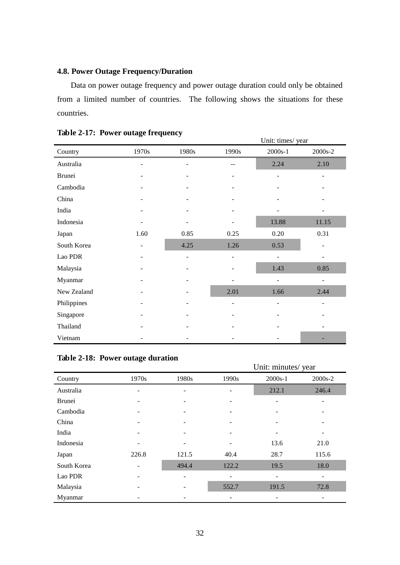# **4.8. Power Outage Frequency/Duration**

Data on power outage frequency and power outage duration could only be obtained from a limited number of countries. The following shows the situations for these countries.

| Table 2-17. Tower butage frequency |                          |                          |                          | Unit: times/year |                          |
|------------------------------------|--------------------------|--------------------------|--------------------------|------------------|--------------------------|
| Country                            | 1970s                    | 1980s                    | 1990s                    | $2000s-1$        | 2000s-2                  |
| Australia                          |                          |                          |                          | 2.24             | 2.10                     |
| <b>Brunei</b>                      |                          |                          |                          |                  |                          |
| Cambodia                           |                          |                          |                          |                  |                          |
| China                              |                          |                          |                          |                  |                          |
| India                              |                          |                          |                          |                  |                          |
| Indonesia                          |                          |                          |                          | 13.88            | 11.15                    |
| Japan                              | 1.60                     | 0.85                     | 0.25                     | $0.20\,$         | 0.31                     |
| South Korea                        | $\overline{\phantom{a}}$ | 4.25                     | 1.26                     | 0.53             |                          |
| Lao PDR                            | $\overline{\phantom{a}}$ | $\overline{\phantom{0}}$ | $\overline{\phantom{0}}$ | $\overline{a}$   | $\overline{\phantom{a}}$ |
| Malaysia                           |                          |                          |                          | 1.43             | 0.85                     |
| Myanmar                            |                          |                          |                          | $\overline{a}$   | $\blacksquare$           |
| New Zealand                        |                          |                          | 2.01                     | 1.66             | 2.44                     |
| Philippines                        |                          |                          |                          |                  |                          |
| Singapore                          |                          |                          |                          |                  |                          |
| Thailand                           |                          |                          |                          |                  |                          |
| Vietnam                            |                          |                          |                          |                  |                          |

## **Table 2-17: Power outage frequency**

|  |  | Table 2-18: Power outage duration |
|--|--|-----------------------------------|
|--|--|-----------------------------------|

|               |       |       |       | Unit: minutes/year |         |
|---------------|-------|-------|-------|--------------------|---------|
| Country       | 1970s | 1980s | 1990s | $2000s-1$          | 2000s-2 |
| Australia     |       |       |       | 212.1              | 246.4   |
| <b>Brunei</b> |       |       |       |                    |         |
| Cambodia      |       |       |       |                    |         |
| China         |       |       |       |                    |         |
| India         |       |       |       |                    |         |
| Indonesia     |       |       |       | 13.6               | 21.0    |
| Japan         | 226.8 | 121.5 | 40.4  | 28.7               | 115.6   |
| South Korea   |       | 494.4 | 122.2 | 19.5               | 18.0    |
| Lao PDR       |       |       |       |                    | -       |
| Malaysia      |       |       | 552.7 | 191.5              | 72.8    |
| Myanmar       |       |       |       |                    |         |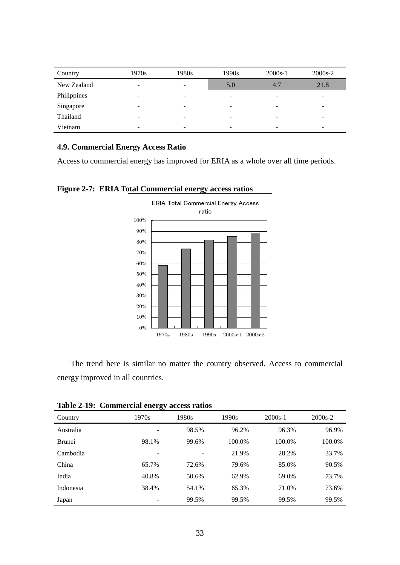| Country     | 1970s                    | 1980s | 1990s                    | $2000s-1$ | $2000s-2$ |
|-------------|--------------------------|-------|--------------------------|-----------|-----------|
| New Zealand | -                        | -     | 5.0                      | 4.7       | 21.8      |
| Philippines |                          | -     | $\overline{\phantom{a}}$ |           |           |
| Singapore   |                          | -     | $\overline{\phantom{a}}$ |           |           |
| Thailand    |                          | -     | $\overline{\phantom{0}}$ |           |           |
| Vietnam     | $\overline{\phantom{a}}$ | -     | $\overline{\phantom{0}}$ | -         | -         |

#### **4.9. Commercial Energy Access Ratio**

Access to commercial energy has improved for ERIA as a whole over all time periods.



**Figure 2-7: ERIA Total Commercial energy access ratios**

The trend here is similar no matter the country observed. Access to commercial energy improved in all countries.

**Table 2-19: Commercial energy access ratios**

|               | ຶ              |       |        |           |         |
|---------------|----------------|-------|--------|-----------|---------|
| Country       | 1970s          | 1980s | 1990s  | $2000s-1$ | 2000s-2 |
| Australia     |                | 98.5% | 96.2%  | 96.3%     | 96.9%   |
| <b>Brunei</b> | 98.1%          | 99.6% | 100.0% | 100.0%    | 100.0%  |
| Cambodia      | $\overline{a}$ |       | 21.9%  | 28.2%     | 33.7%   |
| China         | 65.7%          | 72.6% | 79.6%  | 85.0%     | 90.5%   |
| India         | 40.8%          | 50.6% | 62.9%  | 69.0%     | 73.7%   |
| Indonesia     | 38.4%          | 54.1% | 65.3%  | 71.0%     | 73.6%   |
| Japan         |                | 99.5% | 99.5%  | 99.5%     | 99.5%   |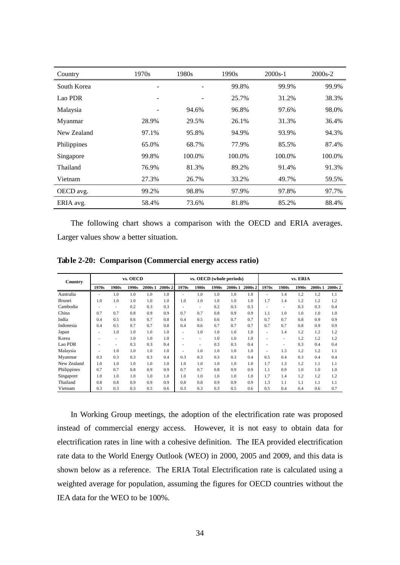| Country     | 1970s                        | 1980s  | 1990s  | $2000s-1$ | 2000s-2 |
|-------------|------------------------------|--------|--------|-----------|---------|
| South Korea | $\qquad \qquad \blacksquare$ |        | 99.8%  | 99.9%     | 99.9%   |
| Lao PDR     |                              |        | 25.7%  | 31.2%     | 38.3%   |
| Malaysia    |                              | 94.6%  | 96.8%  | 97.6%     | 98.0%   |
| Myanmar     | 28.9%                        | 29.5%  | 26.1%  | 31.3%     | 36.4%   |
| New Zealand | 97.1%                        | 95.8%  | 94.9%  | 93.9%     | 94.3%   |
| Philippines | 65.0%                        | 68.7%  | 77.9%  | 85.5%     | 87.4%   |
| Singapore   | 99.8%                        | 100.0% | 100.0% | 100.0%    | 100.0%  |
| Thailand    | 76.9%                        | 81.3%  | 89.2%  | 91.4%     | 91.3%   |
| Vietnam     | 27.3%                        | 26.7%  | 33.2%  | 49.7%     | 59.5%   |
| OECD avg.   | 99.2%                        | 98.8%  | 97.9%  | 97.8%     | 97.7%   |
| ERIA avg.   | 58.4%                        | 73.6%  | 81.8%  | 85.2%     | 88.4%   |

The following chart shows a comparison with the OECD and ERIA averages. Larger values show a better situation.

| Country     | vs. OECD |       |       |         | vs. OECD (whole periods) |       |       |       | vs. ERIA |         |       |       |       |         |         |
|-------------|----------|-------|-------|---------|--------------------------|-------|-------|-------|----------|---------|-------|-------|-------|---------|---------|
|             | 1970s    | 1980s | 1990s | 2000s 1 | 2000s 2                  | 1970s | 1980s | 1990s | 2000s 1  | 2000s 2 | 1970s | 1980s | 1990s | 2000s 1 | 2000s 2 |
| Australia   | ٠        | 1.0   | 1.0   | 1.0     | 1.0                      |       | 1.0   | 1.0   | 1.0      | 1.0     |       | 1.4   | 1.2   | 1.2     | 1.1     |
| Brunei      | 1.0      | 1.0   | 1.0   | 1.0     | 1.0                      | 1.0   | 1.0   | 1.0   | 1.0      | 1.0     | 1.7   | 1.4   | 1.2   | 1.2     | 1.2     |
| Cambodia    |          | ٠     | 0.2   | 0.3     | 0.3                      |       | ٠     | 0.2   | 0.3      | 0.3     |       | ٠     | 0.3   | 0.3     | 0.4     |
| China       | 0.7      | 0.7   | 0.8   | 0.9     | 0.9                      | 0.7   | 0.7   | 0.8   | 0.9      | 0.9     | 1.1   | 1.0   | 1.0   | 1.0     | 1.0     |
| India       | 0.4      | 0.5   | 0.6   | 0.7     | 0.8                      | 0.4   | 0.5   | 0.6   | 0.7      | 0.7     | 0.7   | 0.7   | 0.8   | 0.9     | 0.9     |
| Indonesia   | 0.4      | 0.5   | 0.7   | 0.7     | 0.8                      | 0.4   | 0.6   | 0.7   | 0.7      | 0.7     | 0.7   | 0.7   | 0.8   | 0.9     | 0.9     |
| Japan       |          | 1.0   | 1.0   | 1.0     | 1.0                      |       | 1.0   | 1.0   | 1.0      | 1.0     |       | 1.4   | 1.2   | 1.2     | 1.2     |
| Korea       |          | ٠     | 1.0   | 1.0     | 1.0                      |       | ۰     | 1.0   | 1.0      | 1.0     |       | ٠     | 1.2   | 1.2     | 1.2     |
| Lao PDR     |          | ۰     | 0.3   | 0.3     | 0.4                      |       | ٠     | 0.3   | 0.3      | 0.4     |       | ٠     | 0.3   | 0.4     | 0.4     |
| Malaysia    |          | 1.0   | 1.0   | 1.0     | 1.0                      |       | 1.0   | 1.0   | 1.0      | 1.0     |       | 1.3   | 1.2   | 1.2     | 1.1     |
| Myanmar     | 0.3      | 0.3   | 0.3   | 0.3     | 0.4                      | 0.3   | 0.3   | 0.3   | 0.3      | 0.4     | 0.5   | 0.4   | 0.3   | 0.4     | 0.4     |
| New Zealand | 1.0      | 1.0   | 1.0   | 1.0     | 1.0                      | 1.0   | 1.0   | 1.0   | 1.0      | 1.0     | 1.7   | 1.3   | 1.2   | 1.1     | 1.1     |
| Philippines | 0.7      | 0.7   | 0.8   | 0.9     | 0.9                      | 0.7   | 0.7   | 0.8   | 0.9      | 0.9     | 1.1   | 0.9   | 1.0   | 1.0     | 1.0     |
| Singapore   | 1.0      | 1.0   | 1.0   | 1.0     | 1.0                      | 1.0   | 1.0   | 1.0   | 1.0      | 1.0     | 1.7   | 1.4   | 1.2   | 1.2     | 1.2     |
| Thailand    | 0.8      | 0.8   | 0.9   | 0.9     | 0.9                      | 0.8   | 0.8   | 0.9   | 0.9      | 0.9     | 1.3   | 1.1   | 1.1   | 1.1     | 1.1     |
| Vietnam     | 0.3      | 0.3   | 0.3   | 0.5     | 0.6                      | 0.3   | 0.3   | 0.3   | 0.5      | 0.6     | 0.5   | 0.4   | 0.4   | 0.6     | 0.7     |

**Table 2-20: Comparison (Commercial energy access ratio)**

In Working Group meetings, the adoption of the electrification rate was proposed instead of commercial energy access. However, it is not easy to obtain data for electrification rates in line with a cohesive definition. The IEA provided electrification rate data to the World Energy Outlook (WEO) in 2000, 2005 and 2009, and this data is shown below as a reference. The ERIA Total Electrification rate is calculated using a weighted average for population, assuming the figures for OECD countries without the IEA data for the WEO to be 100%.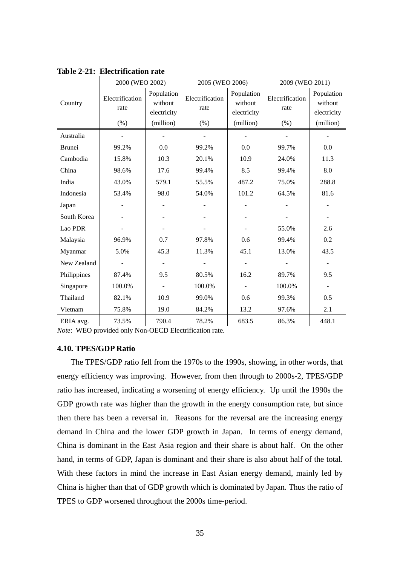|               | 2000 (WEO 2002)         |                                      | 2005 (WEO 2006)         |                                      | 2009 (WEO 2011)         |                                      |  |
|---------------|-------------------------|--------------------------------------|-------------------------|--------------------------------------|-------------------------|--------------------------------------|--|
| Country       | Electrification<br>rate | Population<br>without<br>electricity | Electrification<br>rate | Population<br>without<br>electricity | Electrification<br>rate | Population<br>without<br>electricity |  |
|               | (% )                    | (million)                            | (% )                    | (million)                            | (% )                    | (million)                            |  |
| Australia     |                         |                                      |                         |                                      |                         |                                      |  |
| <b>Brunei</b> | 99.2%                   | 0.0                                  | 99.2%                   | 0.0                                  | 99.7%                   | 0.0                                  |  |
| Cambodia      | 15.8%                   | 10.3                                 | 20.1%                   | 10.9                                 | 24.0%                   | 11.3                                 |  |
| China         | 98.6%                   | 17.6                                 | 99.4%                   | 8.5                                  | 99.4%                   | 8.0                                  |  |
| India         | 43.0%                   | 579.1                                | 55.5%                   | 487.2                                | 75.0%                   | 288.8                                |  |
| Indonesia     | 53.4%                   | 98.0                                 | 54.0%                   | 101.2                                | 64.5%                   | 81.6                                 |  |
| Japan         |                         |                                      |                         |                                      |                         |                                      |  |
| South Korea   |                         | $\overline{\phantom{a}}$             |                         | $\overline{\phantom{m}}$             |                         |                                      |  |
| Lao PDR       |                         |                                      |                         |                                      | 55.0%                   | 2.6                                  |  |
| Malaysia      | 96.9%                   | 0.7                                  | 97.8%                   | 0.6                                  | 99.4%                   | 0.2                                  |  |
| Myanmar       | 5.0%                    | 45.3                                 | 11.3%                   | 45.1                                 | 13.0%                   | 43.5                                 |  |
| New Zealand   |                         | $\overline{\phantom{a}}$             |                         | $\overline{\phantom{a}}$             |                         |                                      |  |
| Philippines   | 87.4%                   | 9.5                                  | 80.5%                   | 16.2                                 | 89.7%                   | 9.5                                  |  |
| Singapore     | 100.0%                  |                                      | 100.0%                  |                                      | 100.0%                  |                                      |  |
| Thailand      | 82.1%                   | 10.9                                 | 99.0%                   | 0.6                                  | 99.3%                   | 0.5                                  |  |
| Vietnam       | 75.8%                   | 19.0                                 | 84.2%                   | 13.2                                 | 97.6%                   | 2.1                                  |  |
| ERIA avg.     | 73.5%                   | 790.4                                | 78.2%                   | 683.5                                | 86.3%                   | 448.1                                |  |

**Table 2-21: Electrification rate**

*Note*: WEO provided only Non-OECD Electrification rate.

#### **4.10. TPES/GDP Ratio**

The TPES/GDP ratio fell from the 1970s to the 1990s, showing, in other words, that energy efficiency was improving. However, from then through to 2000s-2, TPES/GDP ratio has increased, indicating a worsening of energy efficiency. Up until the 1990s the GDP growth rate was higher than the growth in the energy consumption rate, but since then there has been a reversal in. Reasons for the reversal are the increasing energy demand in China and the lower GDP growth in Japan. In terms of energy demand, China is dominant in the East Asia region and their share is about half. On the other hand, in terms of GDP, Japan is dominant and their share is also about half of the total. With these factors in mind the increase in East Asian energy demand, mainly led by China is higher than that of GDP growth which is dominated by Japan. Thus the ratio of TPES to GDP worsened throughout the 2000s time-period.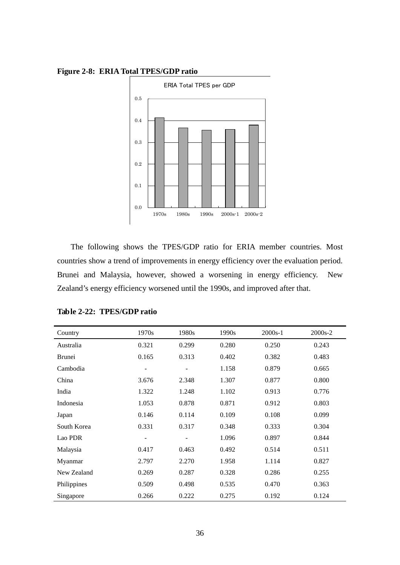

**Figure 2-8: ERIA Total TPES/GDP ratio**

The following shows the TPES/GDP ratio for ERIA member countries. Most countries show a trend of improvements in energy efficiency over the evaluation period. Brunei and Malaysia, however, showed a worsening in energy efficiency. New Zealand's energy efficiency worsened until the 1990s, and improved after that.

| Country       | 1970s | 1980s | 1990s | $2000s-1$ | 2000s-2 |
|---------------|-------|-------|-------|-----------|---------|
| Australia     | 0.321 | 0.299 | 0.280 | 0.250     | 0.243   |
| <b>Brunei</b> | 0.165 | 0.313 | 0.402 | 0.382     | 0.483   |
| Cambodia      |       |       | 1.158 | 0.879     | 0.665   |
| China         | 3.676 | 2.348 | 1.307 | 0.877     | 0.800   |
| India         | 1.322 | 1.248 | 1.102 | 0.913     | 0.776   |
| Indonesia     | 1.053 | 0.878 | 0.871 | 0.912     | 0.803   |
| Japan         | 0.146 | 0.114 | 0.109 | 0.108     | 0.099   |
| South Korea   | 0.331 | 0.317 | 0.348 | 0.333     | 0.304   |
| Lao PDR       |       |       | 1.096 | 0.897     | 0.844   |
| Malaysia      | 0.417 | 0.463 | 0.492 | 0.514     | 0.511   |
| Myanmar       | 2.797 | 2.270 | 1.958 | 1.114     | 0.827   |
| New Zealand   | 0.269 | 0.287 | 0.328 | 0.286     | 0.255   |
| Philippines   | 0.509 | 0.498 | 0.535 | 0.470     | 0.363   |
| Singapore     | 0.266 | 0.222 | 0.275 | 0.192     | 0.124   |

**Table 2-22: TPES/GDP ratio**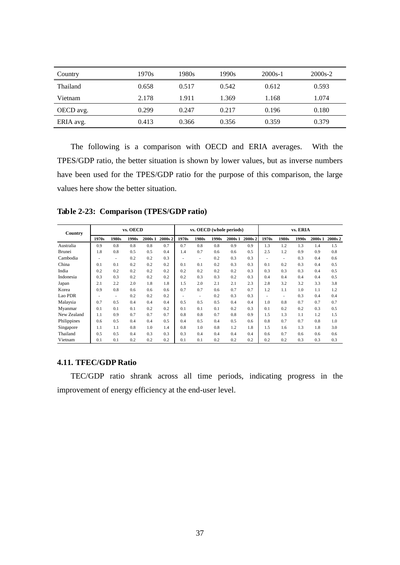| Country   | 1970s | 1980s | 1990s | $2000s-1$ | $2000s-2$ |
|-----------|-------|-------|-------|-----------|-----------|
| Thailand  | 0.658 | 0.517 | 0.542 | 0.612     | 0.593     |
| Vietnam   | 2.178 | 1.911 | 1.369 | 1.168     | 1.074     |
| OECD avg. | 0.299 | 0.247 | 0.217 | 0.196     | 0.180     |
| ERIA avg. | 0.413 | 0.366 | 0.356 | 0.359     | 0.379     |

The following is a comparison with OECD and ERIA averages. With the TPES/GDP ratio, the better situation is shown by lower values, but as inverse numbers have been used for the TPES/GDP ratio for the purpose of this comparison, the large values here show the better situation.

**Table 2-23: Comparison (TPES/GDP ratio)**

| Country     |       | vs. OECD |       |         |         | vs. OECD (whole periods) |       |       |         |         | vs. ERIA |       |       |         |         |
|-------------|-------|----------|-------|---------|---------|--------------------------|-------|-------|---------|---------|----------|-------|-------|---------|---------|
|             | 1970s | 1980s    | 1990s | 2000s 1 | 2000s 2 | 1970s                    | 1980s | 1990s | 2000s 1 | 2000s 2 | 1970s    | 1980s | 1990s | 2000s 1 | 2000s 2 |
| Australia   | 0.9   | 0.8      | 0.8   | 0.8     | 0.7     | 0.7                      | 0.8   | 0.8   | 0.9     | 0.9     | 1.3      | 1.2   | 1.3   | 1.4     | 1.5     |
| Brunei      | 1.8   | 0.8      | 0.5   | 0.5     | 0.4     | 1.4                      | 0.7   | 0.6   | 0.6     | 0.5     | 2.5      | 1.2   | 0.9   | 0.9     | 0.8     |
| Cambodia    |       | ٠        | 0.2   | 0.2     | 0.3     |                          | ٠     | 0.2   | 0.3     | 0.3     |          | ٠     | 0.3   | 0.4     | 0.6     |
| China       | 0.1   | 0.1      | 0.2   | 0.2     | 0.2     | 0.1                      | 0.1   | 0.2   | 0.3     | 0.3     | 0.1      | 0.2   | 0.3   | 0.4     | 0.5     |
| India       | 0.2   | 0.2      | 0.2   | 0.2     | 0.2     | 0.2                      | 0.2   | 0.2   | 0.2     | 0.3     | 0.3      | 0.3   | 0.3   | 0.4     | 0.5     |
| Indonesia   | 0.3   | 0.3      | 0.2   | 0.2     | 0.2     | 0.2                      | 0.3   | 0.3   | 0.2     | 0.3     | 0.4      | 0.4   | 0.4   | 0.4     | 0.5     |
| Japan       | 2.1   | 2.2      | 2.0   | 1.8     | 1.8     | 1.5                      | 2.0   | 2.1   | 2.1     | 2.3     | 2.8      | 3.2   | 3.2   | 3.3     | 3.8     |
| Korea       | 0.9   | 0.8      | 0.6   | 0.6     | 0.6     | 0.7                      | 0.7   | 0.6   | 0.7     | 0.7     | 1.2      | 1.1   | 1.0   | 1.1     | 1.2     |
| Lao PDR     |       | ٠        | 0.2   | 0.2     | 0.2     |                          | ٠     | 0.2   | 0.3     | 0.3     |          | ٠     | 0.3   | 0.4     | 0.4     |
| Malaysia    | 0.7   | 0.5      | 0.4   | 0.4     | 0.4     | 0.5                      | 0.5   | 0.5   | 0.4     | 0.4     | 1.0      | 0.8   | 0.7   | 0.7     | 0.7     |
| Myanmar     | 0.1   | 0.1      | 0.1   | 0.2     | 0.2     | 0.1                      | 0.1   | 0.1   | 0.2     | 0.3     | 0.1      | 0.2   | 0.2   | 0.3     | 0.5     |
| New Zealand | 1.1   | 0.9      | 0.7   | 0.7     | 0.7     | 0.8                      | 0.8   | 0.7   | 0.8     | 0.9     | 1.5      | 1.3   | 1.1   | 1.2     | 1.5     |
| Philippines | 0.6   | 0.5      | 0.4   | 0.4     | 0.5     | 0.4                      | 0.5   | 0.4   | 0.5     | 0.6     | 0.8      | 0.7   | 0.7   | 0.8     | 1.0     |
| Singapore   | 1.1   | 1.1      | 0.8   | 1.0     | 1.4     | 0.8                      | 1.0   | 0.8   | 1.2     | 1.8     | 1.5      | 1.6   | 1.3   | 1.8     | 3.0     |
| Thailand    | 0.5   | 0.5      | 0.4   | 0.3     | 0.3     | 0.3                      | 0.4   | 0.4   | 0.4     | 0.4     | 0.6      | 0.7   | 0.6   | 0.6     | 0.6     |
| Vietnam     | 0.1   | 0.1      | 0.2   | 0.2     | 0.2     | 0.1                      | 0.1   | 0.2   | 0.2     | 0.2     | 0.2      | 0.2   | 0.3   | 0.3     | 0.3     |

#### **4.11. TFEC/GDP Ratio**

TEC/GDP ratio shrank across all time periods, indicating progress in the improvement of energy efficiency at the end-user level.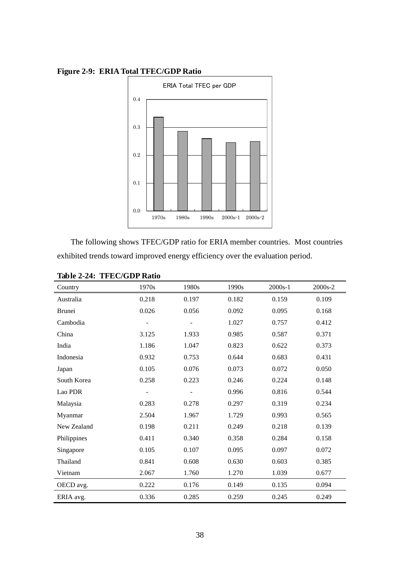

**Figure 2-9: ERIA Total TFEC/GDP Ratio**

The following shows TFEC/GDP ratio for ERIA member countries. Most countries exhibited trends toward improved energy efficiency over the evaluation period.

| Country       | 1970s                    | 1980s                    | 1990s | $2000s-1$ | 2000s-2 |
|---------------|--------------------------|--------------------------|-------|-----------|---------|
| Australia     | 0.218                    | 0.197                    | 0.182 | 0.159     | 0.109   |
| <b>Brunei</b> | 0.026                    | 0.056                    | 0.092 | 0.095     | 0.168   |
| Cambodia      | $\overline{\phantom{0}}$ | $\overline{\phantom{a}}$ | 1.027 | 0.757     | 0.412   |
| China         | 3.125                    | 1.933                    | 0.985 | 0.587     | 0.371   |
| India         | 1.186                    | 1.047                    | 0.823 | 0.622     | 0.373   |
| Indonesia     | 0.932                    | 0.753                    | 0.644 | 0.683     | 0.431   |
| Japan         | 0.105                    | 0.076                    | 0.073 | 0.072     | 0.050   |
| South Korea   | 0.258                    | 0.223                    | 0.246 | 0.224     | 0.148   |
| Lao PDR       |                          |                          | 0.996 | 0.816     | 0.544   |
| Malaysia      | 0.283                    | 0.278                    | 0.297 | 0.319     | 0.234   |
| Myanmar       | 2.504                    | 1.967                    | 1.729 | 0.993     | 0.565   |
| New Zealand   | 0.198                    | 0.211                    | 0.249 | 0.218     | 0.139   |
| Philippines   | 0.411                    | 0.340                    | 0.358 | 0.284     | 0.158   |
| Singapore     | 0.105                    | 0.107                    | 0.095 | 0.097     | 0.072   |
| Thailand      | 0.841                    | 0.608                    | 0.630 | 0.603     | 0.385   |
| Vietnam       | 2.067                    | 1.760                    | 1.270 | 1.039     | 0.677   |
| OECD avg.     | 0.222                    | 0.176                    | 0.149 | 0.135     | 0.094   |
| ERIA avg.     | 0.336                    | 0.285                    | 0.259 | 0.245     | 0.249   |

**Table 2-24: TFEC/GDP Ratio**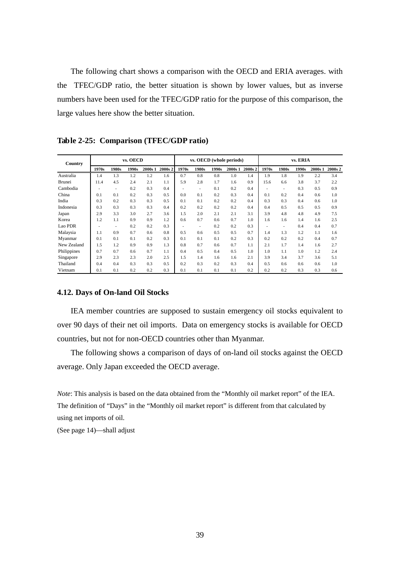The following chart shows a comparison with the OECD and ERIA averages. with the TFEC/GDP ratio, the better situation is shown by lower values, but as inverse numbers have been used for the TFEC/GDP ratio for the purpose of this comparison, the large values here show the better situation.

| Country       |       |                          | vs. OECD |         |         | vs. OECD (whole periods) |       |       |         |         | vs. ERIA |       |       |         |         |
|---------------|-------|--------------------------|----------|---------|---------|--------------------------|-------|-------|---------|---------|----------|-------|-------|---------|---------|
|               | 1970s | 1980s                    | 1990s    | 2000s 1 | 2000s 2 | 1970s                    | 1980s | 1990s | 2000s 1 | 2000s 2 | 1970s    | 1980s | 1990s | 2000s 1 | 2000s 2 |
| Australia     | 1.4   | 1.3                      | 1.2      | 1.2     | 1.6     | 0.7                      | 0.8   | 0.8   | 1.0     | 1.4     | 1.9      | 1.8   | 1.9   | 2.2     | 3.4     |
| <b>Brunei</b> | 11.4  | 4.5                      | 2.4      | 2.1     | 1.1     | 5.9                      | 2.8   | 1.7   | 1.6     | 0.9     | 15.6     | 6.6   | 3.8   | 3.7     | 2.2     |
| Cambodia      |       | $\overline{\phantom{a}}$ | 0.2      | 0.3     | 0.4     |                          | ٠     | 0.1   | 0.2     | 0.4     |          | ۰     | 0.3   | 0.5     | 0.9     |
| China         | 0.1   | 0.1                      | 0.2      | 0.3     | 0.5     | 0.0                      | 0.1   | 0.2   | 0.3     | 0.4     | 0.1      | 0.2   | 0.4   | 0.6     | 1.0     |
| India         | 0.3   | 0.2                      | 0.3      | 0.3     | 0.5     | 0.1                      | 0.1   | 0.2   | 0.2     | 0.4     | 0.3      | 0.3   | 0.4   | 0.6     | 1.0     |
| Indonesia     | 0.3   | 0.3                      | 0.3      | 0.3     | 0.4     | 0.2                      | 0.2   | 0.2   | 0.2     | 0.4     | 0.4      | 0.5   | 0.5   | 0.5     | 0.9     |
| Japan         | 2.9   | 3.3                      | 3.0      | 2.7     | 3.6     | 1.5                      | 2.0   | 2.1   | 2.1     | 3.1     | 3.9      | 4.8   | 4.8   | 4.9     | 7.5     |
| Korea         | 1.2   | 1.1                      | 0.9      | 0.9     | 1.2     | 0.6                      | 0.7   | 0.6   | 0.7     | 1.0     | 1.6      | 1.6   | 1.4   | 1.6     | 2.5     |
| Lao PDR       |       | $\overline{\phantom{a}}$ | 0.2      | 0.2     | 0.3     |                          | ٠     | 0.2   | 0.2     | 0.3     |          | ۰     | 0.4   | 0.4     | 0.7     |
| Malaysia      | 1.1   | 0.9                      | 0.7      | 0.6     | 0.8     | 0.5                      | 0.6   | 0.5   | 0.5     | 0.7     | 1.4      | 1.3   | 1.2   | 1.1     | 1.6     |
| Myanmar       | 0.1   | 0.1                      | 0.1      | 0.2     | 0.3     | 0.1                      | 0.1   | 0.1   | 0.2     | 0.3     | 0.2      | 0.2   | 0.2   | 0.4     | 0.7     |
| New Zealand   | 1.5   | 1.2                      | 0.9      | 0.9     | 1.3     | 0.8                      | 0.7   | 0.6   | 0.7     | 1.1     | 2.1      | 1.7   | 1.4   | 1.6     | 2.7     |
| Philippines   | 0.7   | 0.7                      | 0.6      | 0.7     | 1.1     | 0.4                      | 0.5   | 0.4   | 0.5     | 1.0     | 1.0      | 1.1   | 1.0   | 1.2     | 2.4     |
| Singapore     | 2.9   | 2.3                      | 2.3      | 2.0     | 2.5     | 1.5                      | 1.4   | 1.6   | 1.6     | 2.1     | 3.9      | 3.4   | 3.7   | 3.6     | 5.1     |
| Thailand      | 0.4   | 0.4                      | 0.3      | 0.3     | 0.5     | 0.2                      | 0.3   | 0.2   | 0.3     | 0.4     | 0.5      | 0.6   | 0.6   | 0.6     | 1.0     |
| Vietnam       | 0.1   | 0.1                      | 0.2      | 0.2     | 0.3     | 0.1                      | 0.1   | 0.1   | 0.1     | 0.2     | 0.2      | 0.2   | 0.3   | 0.3     | 0.6     |

**Table 2-25: Comparison (TFEC/GDP ratio)**

#### **4.12. Days of On-land Oil Stocks**

IEA member countries are supposed to sustain emergency oil stocks equivalent to over 90 days of their net oil imports. Data on emergency stocks is available for OECD countries, but not for non-OECD countries other than Myanmar.

The following shows a comparison of days of on-land oil stocks against the OECD average. Only Japan exceeded the OECD average.

*Note*: This analysis is based on the data obtained from the "Monthly oil market report" of the IEA. The definition of "Days" in the "Monthly oil market report" is different from that calculated by using net imports of oil.

(See page 14)—shall adjust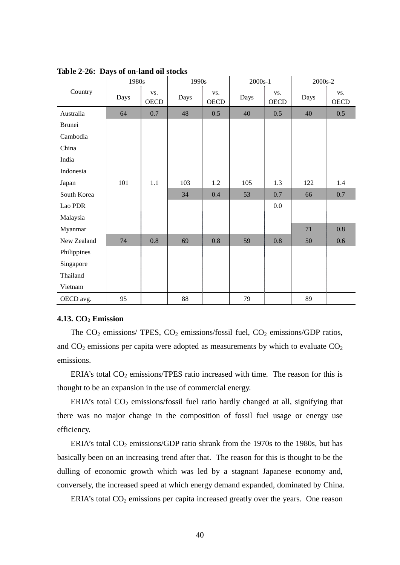|             | 1980s |             | 1990s |                    | $2000s-1$ |                    | 2000s-2 |                    |  |
|-------------|-------|-------------|-------|--------------------|-----------|--------------------|---------|--------------------|--|
| Country     | Days  | VS.<br>OECD | Days  | VS.<br><b>OECD</b> | Days      | VS.<br><b>OECD</b> | Days    | VS.<br><b>OECD</b> |  |
| Australia   | 64    | 0.7         | 48    | 0.5                | 40        | 0.5                | 40      | 0.5                |  |
| Brunei      |       |             |       |                    |           |                    |         |                    |  |
| Cambodia    |       |             |       |                    |           |                    |         |                    |  |
| China       |       |             |       |                    |           |                    |         |                    |  |
| India       |       |             |       |                    |           |                    |         |                    |  |
| Indonesia   |       |             |       |                    |           |                    |         |                    |  |
| Japan       | 101   | 1.1         | 103   | 1.2                | 105       | 1.3                | 122     | 1.4                |  |
| South Korea |       |             | 34    | 0.4                | 53        | 0.7                | 66      | 0.7                |  |
| Lao PDR     |       |             |       |                    |           | $0.0\,$            |         |                    |  |
| Malaysia    |       |             |       |                    |           |                    |         |                    |  |
| Myanmar     |       |             |       |                    |           |                    | 71      | 0.8                |  |
| New Zealand | 74    | 0.8         | 69    | 0.8                | 59        | 0.8                | 50      | 0.6                |  |
| Philippines |       |             |       |                    |           |                    |         |                    |  |
| Singapore   |       |             |       |                    |           |                    |         |                    |  |
| Thailand    |       |             |       |                    |           |                    |         |                    |  |
| Vietnam     |       |             |       |                    |           |                    |         |                    |  |
| OECD avg.   | 95    |             | 88    |                    | 79        |                    | 89      |                    |  |

**Table 2-26: Days of on-land oil stocks**

#### **4.13. CO2 Emission**

The  $CO_2$  emissions/ TPES,  $CO_2$  emissions/fossil fuel,  $CO_2$  emissions/GDP ratios, and  $CO<sub>2</sub>$  emissions per capita were adopted as measurements by which to evaluate  $CO<sub>2</sub>$ emissions.

ERIA's total  $CO<sub>2</sub>$  emissions/TPES ratio increased with time. The reason for this is thought to be an expansion in the use of commercial energy.

ERIA's total  $CO<sub>2</sub>$  emissions/fossil fuel ratio hardly changed at all, signifying that there was no major change in the composition of fossil fuel usage or energy use efficiency.

ERIA's total  $CO_2$  emissions/GDP ratio shrank from the 1970s to the 1980s, but has basically been on an increasing trend after that. The reason for this is thought to be the dulling of economic growth which was led by a stagnant Japanese economy and, conversely, the increased speed at which energy demand expanded, dominated by China.

ERIA's total  $CO<sub>2</sub>$  emissions per capita increased greatly over the years. One reason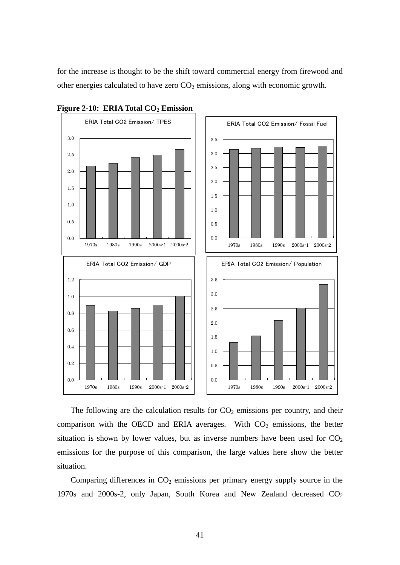for the increase is thought to be the shift toward commercial energy from firewood and other energies calculated to have zero  $CO<sub>2</sub>$  emissions, along with economic growth.





The following are the calculation results for  $CO<sub>2</sub>$  emissions per country, and their comparison with the OECD and ERIA averages. With  $CO<sub>2</sub>$  emissions, the better situation is shown by lower values, but as inverse numbers have been used for  $CO<sub>2</sub>$ emissions for the purpose of this comparison, the large values here show the better situation.

Comparing differences in  $CO<sub>2</sub>$  emissions per primary energy supply source in the 1970s and 2000s-2, only Japan, South Korea and New Zealand decreased CO<sub>2</sub>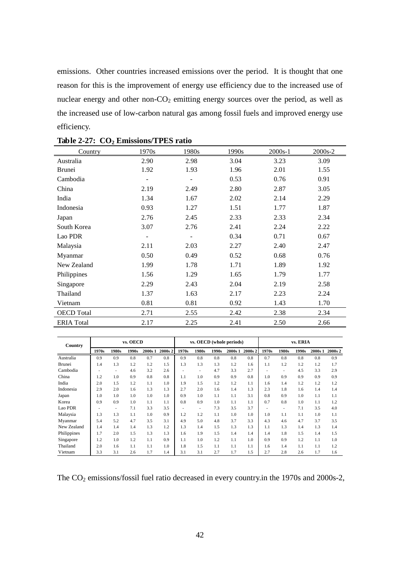emissions. Other countries increased emissions over the period. It is thought that one reason for this is the improvement of energy use efficiency due to the increased use of nuclear energy and other non- $CO<sub>2</sub>$  emitting energy sources over the period, as well as the increased use of low-carbon natural gas among fossil fuels and improved energy use efficiency.

| Country           | 1970s | 1980s | 1990s | 2000s-1 | 2000s-2 |
|-------------------|-------|-------|-------|---------|---------|
| Australia         | 2.90  | 2.98  | 3.04  | 3.23    | 3.09    |
| <b>Brunei</b>     | 1.92  | 1.93  | 1.96  | 2.01    | 1.55    |
| Cambodia          |       |       | 0.53  | 0.76    | 0.91    |
| China             | 2.19  | 2.49  | 2.80  | 2.87    | 3.05    |
| India             | 1.34  | 1.67  | 2.02  | 2.14    | 2.29    |
| Indonesia         | 0.93  | 1.27  | 1.51  | 1.77    | 1.87    |
| Japan             | 2.76  | 2.45  | 2.33  | 2.33    | 2.34    |
| South Korea       | 3.07  | 2.76  | 2.41  | 2.24    | 2.22    |
| Lao PDR           |       |       | 0.34  | 0.71    | 0.67    |
| Malaysia          | 2.11  | 2.03  | 2.27  | 2.40    | 2.47    |
| Myanmar           | 0.50  | 0.49  | 0.52  | 0.68    | 0.76    |
| New Zealand       | 1.99  | 1.78  | 1.71  | 1.89    | 1.92    |
| Philippines       | 1.56  | 1.29  | 1.65  | 1.79    | 1.77    |
| Singapore         | 2.29  | 2.43  | 2.04  | 2.19    | 2.58    |
| Thailand          | 1.37  | 1.63  | 2.17  | 2.23    | 2.24    |
| Vietnam           | 0.81  | 0.81  | 0.92  | 1.43    | 1.70    |
| <b>OECD</b> Total | 2.71  | 2.55  | 2.42  | 2.38    | 2.34    |
| <b>ERIA</b> Total | 2.17  | 2.25  | 2.41  | 2.50    | 2.66    |

| Country     |       |                          | vs. OECD |         |         |       |       |       | vs. OECD (whole periods) |         | vs. ERIA |       |       |         |         |
|-------------|-------|--------------------------|----------|---------|---------|-------|-------|-------|--------------------------|---------|----------|-------|-------|---------|---------|
|             | 1970s | 1980s                    | 1990s    | 2000s 1 | 2000s 2 | 1970s | 1980s | 1990s | 2000s 1                  | 2000s 2 | 1970s    | 1980s | 1990s | 2000s 1 | 2000s 2 |
| Australia   | 0.9   | 0.9                      | 0.8      | 0.7     | 0.8     | 0.9   | 0.8   | 0.8   | 0.8                      | 0.8     | 0.7      | 0.8   | 0.8   | 0.8     | 0.9     |
| Brunei      | 1.4   | 1.3                      | 1.2      | 1.2     | 1.5     | 1.3   | 1.3   | 1.3   | 1.2                      | 1.6     | 1.1      | 1.2   | 1.2   | 1.2     | 1.7     |
| Cambodia    |       | $\overline{\phantom{a}}$ | 4.6      | 3.2     | 2.6     |       | ۰     | 4.7   | 3.3                      | 2.7     |          | ٠     | 4.5   | 3.3     | 2.9     |
| China       | 1.2   | 1.0                      | 0.9      | 0.8     | 0.8     | 1.1   | 1.0   | 0.9   | 0.9                      | 0.8     | 1.0      | 0.9   | 0.9   | 0.9     | 0.9     |
| India       | 2.0   | 1.5                      | 1.2      | 1.1     | 1.0     | 1.9   | 1.5   | 1.2   | 1.2                      | 1.1     | 1.6      | 1.4   | 1.2   | 1.2     | 1.2     |
| Indonesia   | 2.9   | 2.0                      | 1.6      | 1.3     | 1.3     | 2.7   | 2.0   | 1.6   | 1.4                      | 1.3     | 2.3      | 1.8   | 1.6   | 1.4     | 1.4     |
| Japan       | 1.0   | 1.0                      | 1.0      | 1.0     | 1.0     | 0.9   | 1.0   | 1.1   | 1.1                      | 3.1     | 0.8      | 0.9   | 1.0   | 1.1     | 1.1     |
| Korea       | 0.9   | 0.9                      | 1.0      | 1.1     | 1.1     | 0.8   | 0.9   | 1.0   | 1.1                      | 1.1     | 0.7      | 0.8   | 1.0   | 1.1     | 1.2     |
| Lao PDR     |       | $\overline{\phantom{a}}$ | 7.1      | 3.3     | 3.5     |       | ٠     | 7.3   | 3.5                      | 3.7     |          | ٠     | 7.1   | 3.5     | 4.0     |
| Malaysia    | 1.3   | 1.3                      | 1.1      | 1.0     | 0.9     | 1.2   | 1.2   | 1.1   | 1.0                      | 1.0     | 1.0      | 1.1   | 1.1   | 1.0     | 1.1     |
| Myanmar     | 5.4   | 5.2                      | 4.7      | 3.5     | 3.1     | 4.9   | 5.0   | 4.8   | 3.7                      | 3.3     | 4.3      | 4.6   | 4.7   | 3.7     | 3.5     |
| New Zealand | 1.4   | 1.4                      | 1.4      | 1.3     | 1.2     | 1.3   | 1.4   | 1.5   | 1.3                      | 1.3     | 1.1      | 1.3   | 1.4   | 1.3     | 1.4     |
| Philippines | 1.7   | 2.0                      | 1.5      | 1.3     | 1.3     | 1.6   | 1.9   | 1.5   | 1.4                      | 1.4     | 1.4      | 1.8   | 1.5   | 1.4     | 1.5     |
| Singapore   | 1.2   | 1.0                      | 1.2      | 1.1     | 0.9     | 1.1   | 1.0   | 1.2   | 1.1                      | 1.0     | 0.9      | 0.9   | 1.2   | 1.1     | 1.0     |
| Thailand    | 2.0   | 1.6                      | 1.1      | 1.1     | 1.0     | 1.8   | 1.5   | 1.1   | 1.1                      | 1.1     | 1.6      | 1.4   | 1.1   | 1.1     | 1.2     |
| Vietnam     | 3.3   | 3.1                      | 2.6      | 1.7     | 1.4     | 3.1   | 3.1   | 2.7   | 1.7                      | 1.5     | 2.7      | 2.8   | 2.6   | 1.7     | 1.6     |

The CO<sub>2</sub> emissions/fossil fuel ratio decreased in every country.in the 1970s and 2000s-2,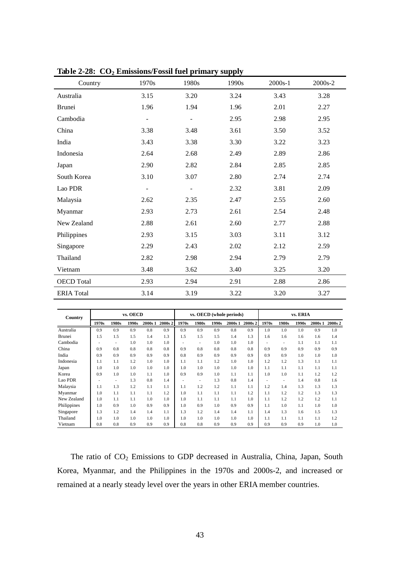| Country           | 1970s | 1980s | 1990s | $2000s-1$ | 2000s-2 |
|-------------------|-------|-------|-------|-----------|---------|
| Australia         | 3.15  | 3.20  | 3.24  | 3.43      | 3.28    |
| <b>Brunei</b>     | 1.96  | 1.94  | 1.96  | 2.01      | 2.27    |
| Cambodia          |       |       | 2.95  | 2.98      | 2.95    |
| China             | 3.38  | 3.48  | 3.61  | 3.50      | 3.52    |
| India             | 3.43  | 3.38  | 3.30  | 3.22      | 3.23    |
| Indonesia         | 2.64  | 2.68  | 2.49  | 2.89      | 2.86    |
| Japan             | 2.90  | 2.82  | 2.84  | 2.85      | 2.85    |
| South Korea       | 3.10  | 3.07  | 2.80  | 2.74      | 2.74    |
| Lao PDR           |       |       | 2.32  | 3.81      | 2.09    |
| Malaysia          | 2.62  | 2.35  | 2.47  | 2.55      | 2.60    |
| Myanmar           | 2.93  | 2.73  | 2.61  | 2.54      | 2.48    |
| New Zealand       | 2.88  | 2.61  | 2.60  | 2.77      | 2.88    |
| Philippines       | 2.93  | 3.15  | 3.03  | 3.11      | 3.12    |
| Singapore         | 2.29  | 2.43  | 2.02  | 2.12      | 2.59    |
| Thailand          | 2.82  | 2.98  | 2.94  | 2.79      | 2.79    |
| Vietnam           | 3.48  | 3.62  | 3.40  | 3.25      | 3.20    |
| <b>OECD</b> Total | 2.93  | 2.94  | 2.91  | 2.88      | 2.86    |
| <b>ERIA</b> Total | 3.14  | 3.19  | 3.22  | 3.20      | 3.27    |

**Table 2-28: CO<sub>2</sub> Emissions/Fossil fuel primary supply** 

| Country       |       |       | vs. OECD |         |         | vs. OECD (whole periods) |       |       |         |         | vs. ERIA |       |       |         |         |
|---------------|-------|-------|----------|---------|---------|--------------------------|-------|-------|---------|---------|----------|-------|-------|---------|---------|
|               | 1970s | 1980s | 1990s    | 2000s 1 | 2000s 2 | 1970s                    | 1980s | 1990s | 2000s 1 | 2000s 2 | 1970s    | 1980s | 1990s | 2000s 1 | 2000s 2 |
| Australia     | 0.9   | 0.9   | 0.9      | 0.8     | 0.9     | 0.9                      | 0.9   | 0.9   | 0.8     | 0.9     | 1.0      | 1.0   | 1.0   | 0.9     | 1.0     |
| <b>Brunei</b> | 1.5   | 1.5   | 1.5      | 1.4     | 1.3     | 1.5                      | 1.5   | 1.5   | 1.4     | 1.3     | 1.6      | 1.6   | 1.6   | 1.6     | 1.4     |
| Cambodia      |       | ۰     | 1.0      | 1.0     | 1.0     |                          | ٠     | 1.0   | 1.0     | 1.0     |          | ٠     | 1.1   | 1.1     | 1.1     |
| China         | 0.9   | 0.8   | 0.8      | 0.8     | 0.8     | 0.9                      | 0.8   | 0.8   | 0.8     | 0.8     | 0.9      | 0.9   | 0.9   | 0.9     | 0.9     |
| India         | 0.9   | 0.9   | 0.9      | 0.9     | 0.9     | 0.8                      | 0.9   | 0.9   | 0.9     | 0.9     | 0.9      | 0.9   | 1.0   | 1.0     | 1.0     |
| Indonesia     | 1.1   | 1.1   | 1.2      | 1.0     | 1.0     | 1.1                      | 1.1   | 1.2   | 1.0     | 1.0     | 1.2      | 1.2   | 1.3   | 1.1     | 1.1     |
| Japan         | 1.0   | 1.0   | 1.0      | 1.0     | 1.0     | 1.0                      | 1.0   | 1.0   | 1.0     | 1.0     | 1.1      | 1.1   | 1.1   | 1.1     | 1.1     |
| Korea         | 0.9   | 1.0   | 1.0      | 1.1     | 1.0     | 0.9                      | 0.9   | 1.0   | 1.1     | 1.1     | 1.0      | 1.0   | 1.1   | 1.2     | 1.2     |
| Lao PDR       |       | ۰     | 1.3      | 0.8     | 1.4     |                          | ٠     | 1.3   | 0.8     | 1.4     |          | ۰     | 1.4   | 0.8     | 1.6     |
| Malaysia      | 1.1   | 1.3   | 1.2      | 1.1     | 1.1     | 1.1                      | 1.2   | 1.2   | 1.1     | 1.1     | 1.2      | 1.4   | 1.3   | 1.3     | 1.3     |
| Myanmar       | 1.0   | 1.1   | 1.1      | 1.1     | 1.2     | 1.0                      | 1.1   | 1.1   | 1.1     | 1.2     | 1.1      | 1.2   | 1.2   | 1.3     | 1.3     |
| New Zealand   | 1.0   | 1.1   | 1.1      | 1.0     | 1.0     | 1.0                      | 1.1   | 1.1   | 1.1     | 1.0     | 1.1      | 1.2   | 1.2   | 1.2     | 1.1     |
| Philippines   | 1.0   | 0.9   | 1.0      | 0.9     | 0.9     | 1.0                      | 0.9   | 1.0   | 0.9     | 0.9     | 1.1      | 1.0   | 1.1   | 1.0     | 1.0     |
| Singapore     | 1.3   | 1.2   | 1.4      | 1.4     | 1.1     | 1.3                      | 1.2   | 1.4   | 1.4     | 1.1     | 1.4      | 1.3   | 1.6   | 1.5     | 1.3     |
| Thailand      | 1.0   | 1.0   | 1.0      | 1.0     | 1.0     | 1.0                      | 1.0   | 1.0   | 1.0     | 1.0     | 1.1      | 1.1   | 1.1   | 1.1     | 1.2     |
| Vietnam       | 0.8   | 0.8   | 0.9      | 0.9     | 0.9     | 0.8                      | 0.8   | 0.9   | 0.9     | 0.9     | 0.9      | 0.9   | 0.9   | 1.0     | 1.0     |

The ratio of CO<sub>2</sub> Emissions to GDP decreased in Australia, China, Japan, South Korea, Myanmar, and the Philippines in the 1970s and 2000s-2, and increased or remained at a nearly steady level over the years in other ERIA member countries.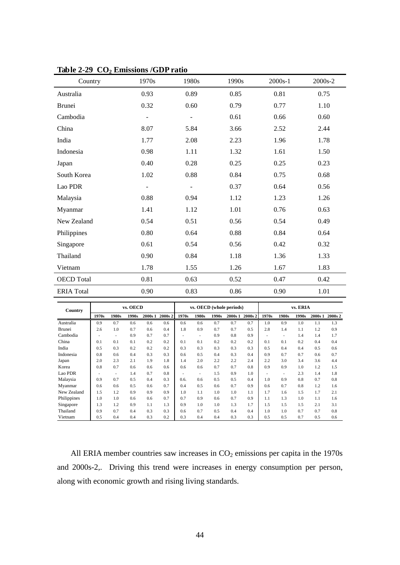| Country           | 1970s                    | 1980s                    | 1990s | 2000s-1 | 2000s-2 |
|-------------------|--------------------------|--------------------------|-------|---------|---------|
| Australia         | 0.93                     | 0.89                     | 0.85  | 0.81    | 0.75    |
| Brunei            | 0.32                     | 0.60                     | 0.79  | 0.77    | 1.10    |
| Cambodia          | $\overline{\phantom{a}}$ | $\overline{\phantom{a}}$ | 0.61  | 0.66    | 0.60    |
| China             | 8.07                     | 5.84                     | 3.66  | 2.52    | 2.44    |
| India             | 1.77                     | 2.08                     | 2.23  | 1.96    | 1.78    |
| Indonesia         | 0.98                     | 1.11                     | 1.32  | 1.61    | 1.50    |
| Japan             | 0.40                     | 0.28                     | 0.25  | 0.25    | 0.23    |
| South Korea       | 1.02                     | 0.88                     | 0.84  | 0.75    | 0.68    |
| Lao PDR           | $\overline{\phantom{m}}$ | $\overline{\phantom{a}}$ | 0.37  | 0.64    | 0.56    |
| Malaysia          | 0.88                     | 0.94                     | 1.12  | 1.23    | 1.26    |
| Myanmar           | 1.41                     | 1.12                     | 1.01  | 0.76    | 0.63    |
| New Zealand       | 0.54                     | 0.51                     | 0.56  | 0.54    | 0.49    |
| Philippines       | 0.80                     | 0.64                     | 0.88  | 0.84    | 0.64    |
| Singapore         | 0.61                     | 0.54                     | 0.56  | 0.42    | 0.32    |
| Thailand          | 0.90                     | 0.84                     | 1.18  | 1.36    | 1.33    |
| Vietnam           | 1.78                     | 1.55                     | 1.26  | 1.67    | 1.83    |
| <b>OECD</b> Total | 0.81                     | 0.63                     | 0.52  | 0.47    | 0.42    |
| <b>ERIA</b> Total | 0.90                     | 0.83                     | 0.86  | 0.90    | 1.01    |

**Table 2-29 CO2 Emissions /GDP ratio**

| Country       |       |       | vs. OECD |         |         | vs. OECD (whole periods) |       |       |         |         | vs. ERIA |       |       |         |         |
|---------------|-------|-------|----------|---------|---------|--------------------------|-------|-------|---------|---------|----------|-------|-------|---------|---------|
|               | 1970s | 1980s | 1990s    | 2000s 1 | 2000s 2 | 1970s                    | 1980s | 1990s | 2000s 1 | 2000s 2 | 1970s    | 1980s | 1990s | 2000s 1 | 2000s 2 |
| Australia     | 0.9   | 0.7   | 0.6      | 0.6     | 0.6     | 0.6                      | 0.6   | 0.7   | 0.7     | 0.7     | 1.0      | 0.9   | 1.0   | 1.1     | 1.3     |
| <b>Brunei</b> | 2.6   | 1.0   | 0.7      | 0.6     | 0.4     | 1.8                      | 0.9   | 0.7   | 0.7     | 0.5     | 2.8      | 1.4   | 1.1   | 1.2     | 0.9     |
| Cambodia      |       | ۰     | 0.9      | 0.7     | 0.7     |                          | ٠     | 0.9   | 0.8     | 0.9     |          | ٠     | 1.4   | 1.4     | 1.7     |
| China         | 0.1   | 0.1   | 0.1      | 0.2     | 0.2     | 0.1                      | 0.1   | 0.2   | 0.2     | 0.2     | 0.1      | 0.1   | 0.2   | 0.4     | 0.4     |
| India         | 0.5   | 0.3   | 0.2      | 0.2     | 0.2     | 0.3                      | 0.3   | 0.3   | 0.3     | 0.3     | 0.5      | 0.4   | 0.4   | 0.5     | 0.6     |
| Indonesia     | 0.8   | 0.6   | 0.4      | 0.3     | 0.3     | 0.6                      | 0.5   | 0.4   | 0.3     | 0.4     | 0.9      | 0.7   | 0.7   | 0.6     | 0.7     |
| Japan         | 2.0   | 2.3   | 2.1      | 1.9     | 1.8     | 1.4                      | 2.0   | 2.2   | 2.2     | 2.4     | 2.2      | 3.0   | 3.4   | 3.6     | 4.4     |
| Korea         | 0.8   | 0.7   | 0.6      | 0.6     | 0.6     | 0.6                      | 0.6   | 0.7   | 0.7     | 0.8     | 0.9      | 0.9   | 1.0   | 1.2     | 1.5     |
| Lao PDR       |       | ۰     | 1.4      | 0.7     | 0.8     |                          | ٠     | 1.5   | 0.9     | 1.0     |          | ۰     | 2.3   | 1.4     | 1.8     |
| Malaysia      | 0.9   | 0.7   | 0.5      | 0.4     | 0.3     | 0.6.                     | 0.6   | 0.5   | 0.5     | 0.4     | 1.0      | 0.9   | 0.8   | 0.7     | 0.8     |
| Myanmar       | 0.6   | 0.6   | 0.5      | 0.6     | 0.7     | 0.4                      | 0.5   | 0.6   | 0.7     | 0.9     | 0.6      | 0.7   | 0.8   | 1.2     | 1.6     |
| New Zealand   | 1.5   | 1.2   | 0.9      | 0.9     | 0.9     | 1.0                      | 1.1   | 1.0   | 1.0     | 1.1     | 1.7      | 1.6   | 1.5   | 1.7     | 2.1     |
| Philippines   | 1.0   | 1.0   | 0.6      | 0.6     | 0.7     | 0.7                      | 0.9   | 0.6   | 0.7     | 0.9     | 1.1      | 1.3   | 1.0   | 1.1     | 1.6     |
| Singapore     | 1.3   | 1.2   | 0.9      | 1.1     | 1.3     | 0.9                      | 1.0   | 1.0   | 1.3     | 1.7     | 1.5      | 1.5   | 1.5   | 2.1     | 3.1     |
| Thailand      | 0.9   | 0.7   | 0.4      | 0.3     | 0.3     | 0.6                      | 0.7   | 0.5   | 0.4     | 0.4     | 1.0      | 1.0   | 0.7   | 0.7     | 0.8     |
| Vietnam       | 0.5   | 0.4   | 0.4      | 0.3     | 0.2     | 0.3                      | 0.4   | 0.4   | 0.3     | 0.3     | 0.5      | 0.5   | 0.7   | 0.5     | 0.6     |

All ERIA member countries saw increases in  $CO<sub>2</sub>$  emissions per capita in the 1970s and 2000s-2,. Driving this trend were increases in energy consumption per person, along with economic growth and rising living standards.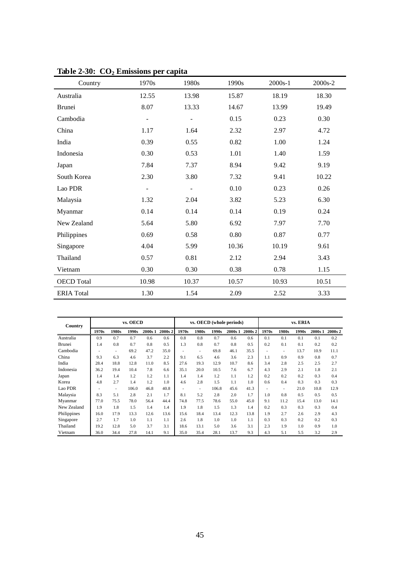| Country           | 1970s | 1980s          | 1990s | 2000s-1 | 2000s-2 |
|-------------------|-------|----------------|-------|---------|---------|
| Australia         | 12.55 | 13.98          | 15.87 | 18.19   | 18.30   |
| Brunei            | 8.07  | 13.33          | 14.67 | 13.99   | 19.49   |
| Cambodia          |       |                | 0.15  | 0.23    | 0.30    |
| China             | 1.17  | 1.64           | 2.32  | 2.97    | 4.72    |
| India             | 0.39  | 0.55           | 0.82  | 1.00    | 1.24    |
| Indonesia         | 0.30  | 0.53           | 1.01  | 1.40    | 1.59    |
| Japan             | 7.84  | 7.37           | 8.94  | 9.42    | 9.19    |
| South Korea       | 2.30  | 3.80           | 7.32  | 9.41    | 10.22   |
| Lao PDR           |       | $\overline{a}$ | 0.10  | 0.23    | 0.26    |
| Malaysia          | 1.32  | 2.04           | 3.82  | 5.23    | 6.30    |
| Myanmar           | 0.14  | 0.14           | 0.14  | 0.19    | 0.24    |
| New Zealand       | 5.64  | 5.80           | 6.92  | 7.97    | 7.70    |
| Philippines       | 0.69  | 0.58           | 0.80  | 0.87    | 0.77    |
| Singapore         | 4.04  | 5.99           | 10.36 | 10.19   | 9.61    |
| Thailand          | 0.57  | 0.81           | 2.12  | 2.94    | 3.43    |
| Vietnam           | 0.30  | 0.30           | 0.38  | 0.78    | 1.15    |
| <b>OECD</b> Total | 10.98 | 10.37          | 10.57 | 10.93   | 10.51   |
| <b>ERIA</b> Total | 1.30  | 1.54           | 2.09  | 2.52    | 3.33    |

**Table 2-30: CO2 Emissions per capita**

| Country     |       | vs. OECD |       |         |         |       |                          |       | vs. OECD (whole periods) |         | vs. ERIA |       |       |         |         |
|-------------|-------|----------|-------|---------|---------|-------|--------------------------|-------|--------------------------|---------|----------|-------|-------|---------|---------|
|             | 1970s | 1980s    | 1990s | 2000s 1 | 2000s 2 | 1970s | 1980s                    | 1990s | 2000s 1                  | 2000s 2 | 1970s    | 1980s | 1990s | 2000s 1 | 2000s 2 |
| Australia   | 0.9   | 0.7      | 0.7   | 0.6     | 0.6     | 0.8   | 0.8                      | 0.7   | 0.6                      | 0.6     | 0.1      | 0.1   | 0.1   | 0.1     | 0.2     |
| Brunei      | 1.4   | 0.8      | 0.7   | 0.8     | 0.5     | 1.3   | 0.8                      | 0.7   | 0.8                      | 0.5     | 0.2      | 0.1   | 0.1   | 0.2     | 0.2     |
| Cambodia    |       | ٠        | 69.2  | 47.2    | 35.0    |       | $\overline{\phantom{a}}$ | 69.8  | 46.1                     | 35.5    |          | ۰     | 13.7  | 10.9    | 11.1    |
| China       | 9.3   | 6.3      | 4.6   | 3.7     | 2.2     | 9.1   | 6.5                      | 4.6   | 3.6                      | 2.3     | 1.1      | 0.9   | 0.9   | 0.8     | 0.7     |
| India       | 28.4  | 18.8     | 12.8  | 11.0    | 8.5     | 27.6  | 19.3                     | 12.9  | 10.7                     | 8.6     | 3.4      | 2.8   | 2.5   | 2.5     | 2.7     |
| Indonesia   | 36.2  | 19.4     | 10.4  | 7.8     | 6.6     | 35.1  | 20.0                     | 10.5  | 7.6                      | 6.7     | 4.3      | 2.9   | 2.1   | 1.8     | 2.1     |
| Japan       | 1.4   | 1.4      | 1.2   | 1.2     | 1.1     | 1.4   | 1.4                      | 1.2   | 1.1                      | 1.2     | 0.2      | 0.2   | 0.2   | 0.3     | 0.4     |
| Korea       | 4.8   | 2.7      | 1.4   | 1.2     | 1.0     | 4.6   | 2.8                      | 1.5   | 1.1                      | 1.0     | 0.6      | 0.4   | 0.3   | 0.3     | 0.3     |
| Lao PDR     |       | ٠        | 106.0 | 46.8    | 40.8    |       | ٠                        | 106.8 | 45.6                     | 41.3    |          | ۰     | 21.0  | 10.8    | 12.9    |
| Malaysia    | 8.3   | 5.1      | 2.8   | 2.1     | 1.7     | 8.1   | 5.2                      | 2.8   | 2.0                      | 1.7     | 1.0      | 0.8   | 0.5   | 0.5     | 0.5     |
| Myanmar     | 77.0  | 75.5     | 78.0  | 56.4    | 44.4    | 74.8  | 77.5                     | 78.6  | 55.0                     | 45.0    | 9.1      | 11.2  | 15.4  | 13.0    | 14.1    |
| New Zealand | 1.9   | 1.8      | 1.5   | 1.4     | 1.4     | 1.9   | 1.8                      | 1.5   | 1.3                      | 1.4     | 0.2      | 0.3   | 0.3   | 0.3     | 0.4     |
| Philippines | 16.0  | 17.9     | 13.3  | 12.6    | 13.6    | 15.6  | 18.4                     | 13.4  | 12.3                     | 13.8    | 1.9      | 2.7   | 2.6   | 2.9     | 4.3     |
| Singapore   | 2.7   | 1.7      | 1.0   | 1.1     | 1.1     | 2.6   | 1.8                      | 1.0   | 1.0                      | 1.1     | 0.3      | 0.3   | 0.2   | 0.2     | 0.3     |
| Thailand    | 19.2  | 12.8     | 5.0   | 3.7     | 3.1     | 18.6  | 13.1                     | 5.0   | 3.6                      | 3.1     | 2.3      | 1.9   | 1.0   | 0.9     | 1.0     |
| Vietnam     | 36.0  | 34.4     | 27.8  | 14.1    | 9.1     | 35.0  | 35.4                     | 28.1  | 13.7                     | 9.3     | 4.3      | 5.1   | 5.5   | 3.2     | 2.9     |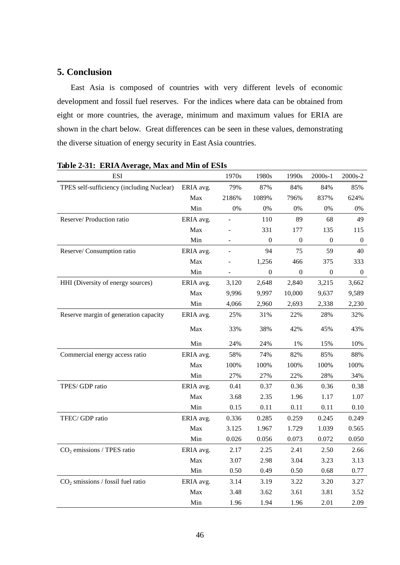# **5. Conclusion**

East Asia is composed of countries with very different levels of economic development and fossil fuel reserves. For the indices where data can be obtained from eight or more countries, the average, minimum and maximum values for ERIA are shown in the chart below. Great differences can be seen in these values, demonstrating the diverse situation of energy security in East Asia countries.

| <b>ESI</b>                                |           | 1970s                    | 1980s            | 1990s            | 2000s-1          | 2000s-2          |
|-------------------------------------------|-----------|--------------------------|------------------|------------------|------------------|------------------|
| TPES self-sufficiency (including Nuclear) | ERIA avg. | 79%                      | 87%              | 84%              | 84%              | 85%              |
|                                           | Max       | 2186%                    | 1089%            | 796%             | 837%             | 624%             |
|                                           | Min       | $0\%$                    | $0\%$            | $0\%$            | $0\%$            | $0\%$            |
| Reserve/ Production ratio                 | ERIA avg. |                          | 110              | 89               | 68               | 49               |
|                                           | Max       |                          | 331              | 177              | 135              | 115              |
|                                           | Min       | $\overline{\phantom{a}}$ | $\boldsymbol{0}$ | $\overline{0}$   | $\boldsymbol{0}$ | $\boldsymbol{0}$ |
| Reserve/ Consumption ratio                | ERIA avg. |                          | 94               | 75               | 59               | 40               |
|                                           | Max       |                          | 1,256            | 466              | 375              | 333              |
|                                           | Min       |                          | $\boldsymbol{0}$ | $\boldsymbol{0}$ | $\boldsymbol{0}$ | $\boldsymbol{0}$ |
| HHI (Diversity of energy sources)         | ERIA avg. | 3,120                    | 2,648            | 2,840            | 3,215            | 3,662            |
|                                           | Max       | 9,996                    | 9,997            | 10,000           | 9,637            | 9,589            |
|                                           | Min       | 4,066                    | 2,960            | 2,693            | 2,338            | 2,230            |
| Reserve margin of generation capacity     | ERIA avg. | 25%                      | 31%              | 22%              | 28%              | 32%              |
|                                           | Max       | 33%                      | 38%              | 42%              | 45%              | 43%              |
|                                           | Min       | 24%                      | 24%              | 1%               | 15%              | 10%              |
| Commercial energy access ratio            | ERIA avg. | 58%                      | 74%              | 82%              | 85%              | 88%              |
|                                           | Max       | 100%                     | 100%             | 100%             | 100%             | 100%             |
|                                           | Min       | 27%                      | 27%              | 22%              | 28%              | 34%              |
| TPES/GDP ratio                            | ERIA avg. | 0.41                     | 0.37             | 0.36             | 0.36             | 0.38             |
|                                           | Max       | 3.68                     | 2.35             | 1.96             | 1.17             | 1.07             |
|                                           | Min       | 0.15                     | 0.11             | 0.11             | 0.11             | $0.10\,$         |
| TFEC/GDP ratio                            | ERIA avg. | 0.336                    | 0.285            | 0.259            | 0.245            | 0.249            |
|                                           | Max       | 3.125                    | 1.967            | 1.729            | 1.039            | 0.565            |
|                                           | Min       | 0.026                    | 0.056            | 0.073            | 0.072            | 0.050            |
| $CO2$ emissions / TPES ratio              | ERIA avg. | 2.17                     | 2.25             | 2.41             | 2.50             | 2.66             |
|                                           | Max       | 3.07                     | 2.98             | 3.04             | 3.23             | 3.13             |
|                                           | Min       | 0.50                     | 0.49             | 0.50             | 0.68             | 0.77             |
| $CO2$ smissions / fossil fuel ratio       | ERIA avg. | 3.14                     | 3.19             | 3.22             | 3.20             | 3.27             |
|                                           | Max       | 3.48                     | 3.62             | 3.61             | 3.81             | 3.52             |
|                                           | Min       | 1.96                     | 1.94             | 1.96             | 2.01             | 2.09             |

**Table 2-31: ERIA Average, Max and Min of ESIs**